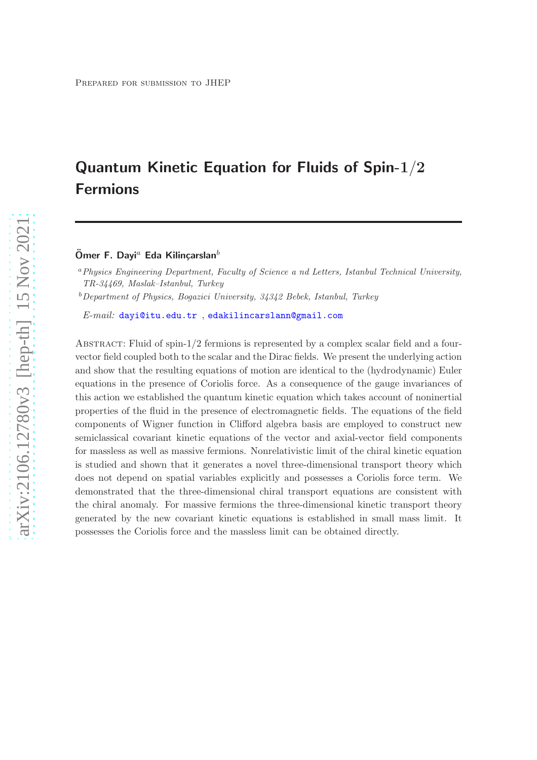# Quantum Kinetic Equation for Fluids of Spin-1/2 Fermions

Ömer F. Dayi<sup>a</sup> Eda Kilincarslan<sup>b</sup>

<sup>a</sup>Physics Engineering Department, Faculty of Science a nd Letters, Istanbul Technical University, TR-34469, Maslak–Istanbul, Turkey

<sup>b</sup>Department of Physics, Bogazici University, 34342 Bebek, Istanbul, Turkey

E-mail: [dayi@itu.edu.tr](mailto:dayi@itu.edu.tr ) , [edakilincarslann@gmail.com](mailto:edakilincarslann@gmail.com)

ABSTRACT: Fluid of spin-1/2 fermions is represented by a complex scalar field and a fourvector field coupled both to the scalar and the Dirac fields. We present the underlying action and show that the resulting equations of motion are identical to the (hydrodynamic) Euler equations in the presence of Coriolis force. As a consequence of the gauge invariances of this action we established the quantum kinetic equation which takes account of noninertial properties of the fluid in the presence of electromagnetic fields. The equations of the field components of Wigner function in Clifford algebra basis are employed to construct new semiclassical covariant kinetic equations of the vector and axial-vector field components for massless as well as massive fermions. Nonrelativistic limit of the chiral kinetic equation is studied and shown that it generates a novel three-dimensional transport theory which does not depend on spatial variables explicitly and possesses a Coriolis force term. We demonstrated that the three-dimensional chiral transport equations are consistent with the chiral anomaly. For massive fermions the three-dimensional kinetic transport theory generated by the new covariant kinetic equations is established in small mass limit. It possesses the Coriolis force and the massless limit can be obtained directly.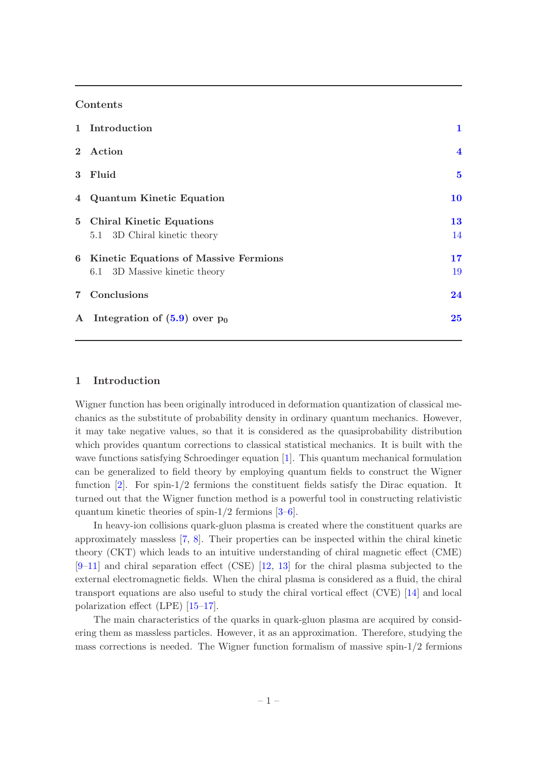# Contents

|              | 1 Introduction                          | 1                       |
|--------------|-----------------------------------------|-------------------------|
|              | 2 Action                                | $\overline{\mathbf{4}}$ |
| $\mathbf{3}$ | Fluid                                   | $\bf{5}$                |
|              | 4 Quantum Kinetic Equation              | 10                      |
|              | 5 Chiral Kinetic Equations              | <b>13</b>               |
|              | 5.1 3D Chiral kinetic theory            | 14                      |
|              | 6 Kinetic Equations of Massive Fermions | 17                      |
|              | 6.1 3D Massive kinetic theory           | 19                      |
|              | 7 Conclusions                           | 24                      |
| $\mathbf{A}$ | Integration of $(5.9)$ over $p_0$       | 25                      |

# <span id="page-1-0"></span>1 Introduction

Wigner function has been originally introduced in deformation quantization of classical mechanics as the substitute of probability density in ordinary quantum mechanics. However, it may take negative values, so that it is considered as the quasiprobability distribution which provides quantum corrections to classical statistical mechanics. It is built with the wave functions satisfying Schroedinger equation [\[1\]](#page-27-0). This quantum mechanical formulation can be generalized to field theory by employing quantum fields to construct the Wigner function [\[2](#page-27-1)]. For spin-1/2 fermions the constituent fields satisfy the Dirac equation. It turned out that the Wigner function method is a powerful tool in constructing relativistic quantum kinetic theories of spin- $1/2$  fermions  $[3-6]$ .

In heavy-ion collisions quark-gluon plasma is created where the constituent quarks are approximately massless [\[7](#page-27-4), [8\]](#page-27-5). Their properties can be inspected within the chiral kinetic theory (CKT) which leads to an intuitive understanding of chiral magnetic effect (CME)  $[9-11]$  $[9-11]$  and chiral separation effect (CSE) [\[12](#page-27-8), [13](#page-27-9)] for the chiral plasma subjected to the external electromagnetic fields. When the chiral plasma is considered as a fluid, the chiral transport equations are also useful to study the chiral vortical effect (CVE) [\[14\]](#page-27-10) and local polarization effect (LPE) [\[15](#page-27-11)[–17](#page-27-12)].

The main characteristics of the quarks in quark-gluon plasma are acquired by considering them as massless particles. However, it as an approximation. Therefore, studying the mass corrections is needed. The Wigner function formalism of massive spin- $1/2$  fermions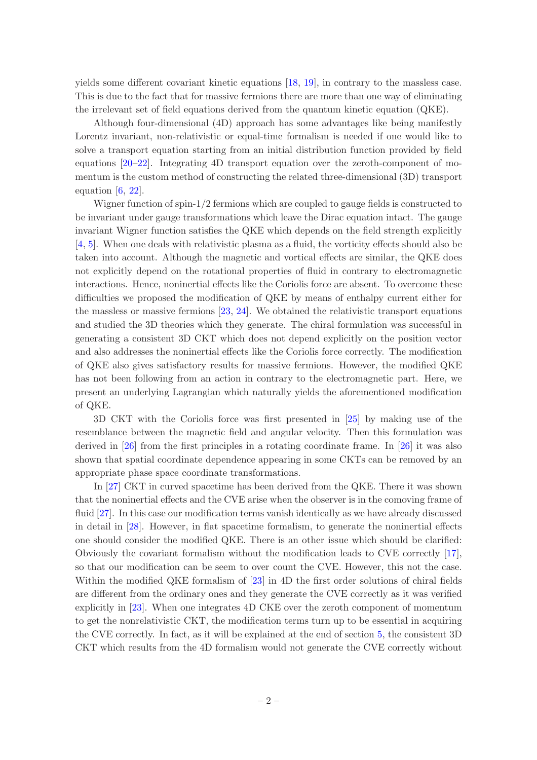yields some different covariant kinetic equations [\[18](#page-27-13), [19\]](#page-28-0), in contrary to the massless case. This is due to the fact that for massive fermions there are more than one way of eliminating the irrelevant set of field equations derived from the quantum kinetic equation (QKE).

Although four-dimensional (4D) approach has some advantages like being manifestly Lorentz invariant, non-relativistic or equal-time formalism is needed if one would like to solve a transport equation starting from an initial distribution function provided by field equations [\[20](#page-28-1)[–22](#page-28-2)]. Integrating 4D transport equation over the zeroth-component of momentum is the custom method of constructing the related three-dimensional (3D) transport equation  $[6, 22]$  $[6, 22]$ .

Wigner function of spin-1/2 fermions which are coupled to gauge fields is constructed to be invariant under gauge transformations which leave the Dirac equation intact. The gauge invariant Wigner function satisfies the QKE which depends on the field strength explicitly [\[4,](#page-27-14) [5](#page-27-15)]. When one deals with relativistic plasma as a fluid, the vorticity effects should also be taken into account. Although the magnetic and vortical effects are similar, the QKE does not explicitly depend on the rotational properties of fluid in contrary to electromagnetic interactions. Hence, noninertial effects like the Coriolis force are absent. To overcome these difficulties we proposed the modification of QKE by means of enthalpy current either for the massless or massive fermions [\[23](#page-28-3), [24\]](#page-28-4). We obtained the relativistic transport equations and studied the 3D theories which they generate. The chiral formulation was successful in generating a consistent 3D CKT which does not depend explicitly on the position vector and also addresses the noninertial effects like the Coriolis force correctly. The modification of QKE also gives satisfactory results for massive fermions. However, the modified QKE has not been following from an action in contrary to the electromagnetic part. Here, we present an underlying Lagrangian which naturally yields the aforementioned modification of QKE.

3D CKT with the Coriolis force was first presented in [\[25](#page-28-5)] by making use of the resemblance between the magnetic field and angular velocity. Then this formulation was derived in [\[26\]](#page-28-6) from the first principles in a rotating coordinate frame. In [\[26](#page-28-6)] it was also shown that spatial coordinate dependence appearing in some CKTs can be removed by an appropriate phase space coordinate transformations.

In [\[27\]](#page-28-7) CKT in curved spacetime has been derived from the QKE. There it was shown that the noninertial effects and the CVE arise when the observer is in the comoving frame of fluid [\[27\]](#page-28-7). In this case our modification terms vanish identically as we have already discussed in detail in [\[28\]](#page-28-8). However, in flat spacetime formalism, to generate the noninertial effects one should consider the modified QKE. There is an other issue which should be clarified: Obviously the covariant formalism without the modification leads to CVE correctly [\[17\]](#page-27-12), so that our modification can be seem to over count the CVE. However, this not the case. Within the modified QKE formalism of [\[23](#page-28-3)] in 4D the first order solutions of chiral fields are different from the ordinary ones and they generate the CVE correctly as it was verified explicitly in [\[23](#page-28-3)]. When one integrates 4D CKE over the zeroth component of momentum to get the nonrelativistic CKT, the modification terms turn up to be essential in acquiring the CVE correctly. In fact, as it will be explained at the end of section [5,](#page-13-0) the consistent 3D CKT which results from the 4D formalism would not generate the CVE correctly without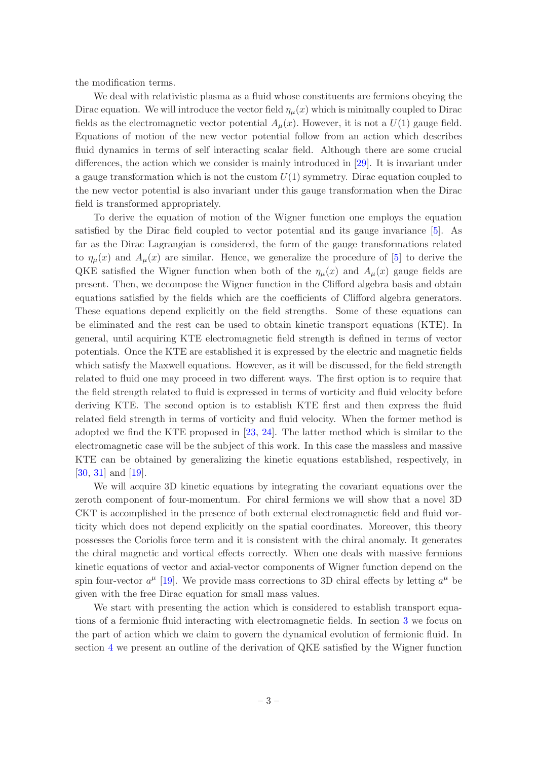the modification terms.

We deal with relativistic plasma as a fluid whose constituents are fermions obeying the Dirac equation. We will introduce the vector field  $\eta_{\mu}(x)$  which is minimally coupled to Dirac fields as the electromagnetic vector potential  $A_\mu(x)$ . However, it is not a  $U(1)$  gauge field. Equations of motion of the new vector potential follow from an action which describes fluid dynamics in terms of self interacting scalar field. Although there are some crucial differences, the action which we consider is mainly introduced in [\[29](#page-28-9)]. It is invariant under a gauge transformation which is not the custom  $U(1)$  symmetry. Dirac equation coupled to the new vector potential is also invariant under this gauge transformation when the Dirac field is transformed appropriately.

To derive the equation of motion of the Wigner function one employs the equation satisfied by the Dirac field coupled to vector potential and its gauge invariance [\[5](#page-27-15)]. As far as the Dirac Lagrangian is considered, the form of the gauge transformations related to  $\eta_{\mu}(x)$  and  $A_{\mu}(x)$  are similar. Hence, we generalize the procedure of [\[5](#page-27-15)] to derive the QKE satisfied the Wigner function when both of the  $\eta_{\mu}(x)$  and  $A_{\mu}(x)$  gauge fields are present. Then, we decompose the Wigner function in the Clifford algebra basis and obtain equations satisfied by the fields which are the coefficients of Clifford algebra generators. These equations depend explicitly on the field strengths. Some of these equations can be eliminated and the rest can be used to obtain kinetic transport equations (KTE). In general, until acquiring KTE electromagnetic field strength is defined in terms of vector potentials. Once the KTE are established it is expressed by the electric and magnetic fields which satisfy the Maxwell equations. However, as it will be discussed, for the field strength related to fluid one may proceed in two different ways. The first option is to require that the field strength related to fluid is expressed in terms of vorticity and fluid velocity before deriving KTE. The second option is to establish KTE first and then express the fluid related field strength in terms of vorticity and fluid velocity. When the former method is adopted we find the KTE proposed in [\[23](#page-28-3), [24](#page-28-4)]. The latter method which is similar to the electromagnetic case will be the subject of this work. In this case the massless and massive KTE can be obtained by generalizing the kinetic equations established, respectively, in [\[30](#page-28-10), [31\]](#page-28-11) and [\[19](#page-28-0)].

We will acquire 3D kinetic equations by integrating the covariant equations over the zeroth component of four-momentum. For chiral fermions we will show that a novel 3D CKT is accomplished in the presence of both external electromagnetic field and fluid vorticity which does not depend explicitly on the spatial coordinates. Moreover, this theory possesses the Coriolis force term and it is consistent with the chiral anomaly. It generates the chiral magnetic and vortical effects correctly. When one deals with massive fermions kinetic equations of vector and axial-vector components of Wigner function depend on the spin four-vector  $a^{\mu}$  [\[19](#page-28-0)]. We provide mass corrections to 3D chiral effects by letting  $a^{\mu}$  be given with the free Dirac equation for small mass values.

We start with presenting the action which is considered to establish transport equations of a fermionic fluid interacting with electromagnetic fields. In section [3](#page-5-0) we focus on the part of action which we claim to govern the dynamical evolution of fermionic fluid. In section [4](#page-10-0) we present an outline of the derivation of QKE satisfied by the Wigner function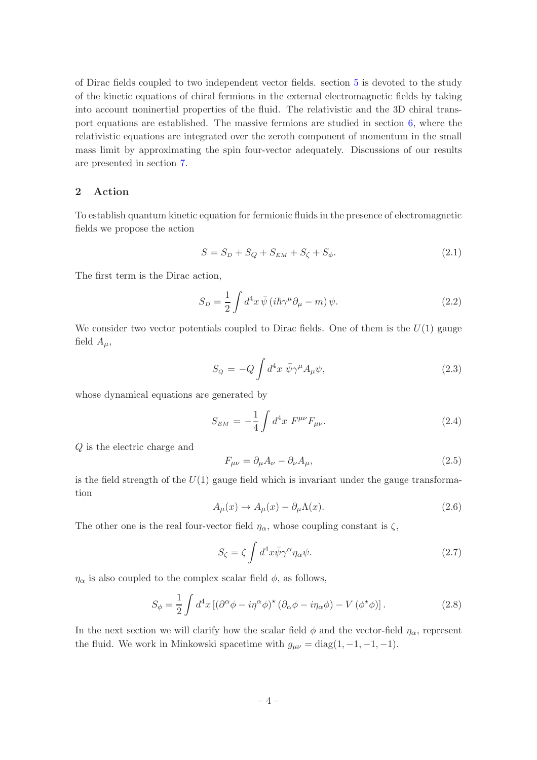of Dirac fields coupled to two independent vector fields. section [5](#page-13-0) is devoted to the study of the kinetic equations of chiral fermions in the external electromagnetic fields by taking into account noninertial properties of the fluid. The relativistic and the 3D chiral transport equations are established. The massive fermions are studied in section [6,](#page-17-0) where the relativistic equations are integrated over the zeroth component of momentum in the small mass limit by approximating the spin four-vector adequately. Discussions of our results are presented in section [7.](#page-24-0)

# <span id="page-4-0"></span>2 Action

To establish quantum kinetic equation for fermionic fluids in the presence of electromagnetic fields we propose the action

<span id="page-4-2"></span>
$$
S = S_D + S_Q + S_{EM} + S_{\zeta} + S_{\phi}.
$$
 (2.1)

The first term is the Dirac action,

$$
S_D = \frac{1}{2} \int d^4x \,\bar{\psi} \left( i\hbar \gamma^\mu \partial_\mu - m \right) \psi. \tag{2.2}
$$

We consider two vector potentials coupled to Dirac fields. One of them is the  $U(1)$  gauge field  $A_\mu$ ,

$$
S_Q = -Q \int d^4x \ \bar{\psi} \gamma^\mu A_\mu \psi, \tag{2.3}
$$

whose dynamical equations are generated by

<span id="page-4-3"></span>
$$
S_{EM} = -\frac{1}{4} \int d^4x \ F^{\mu\nu} F_{\mu\nu}.
$$
 (2.4)

Q is the electric charge and

<span id="page-4-5"></span>
$$
F_{\mu\nu} = \partial_{\mu}A_{\nu} - \partial_{\nu}A_{\mu},\tag{2.5}
$$

is the field strength of the  $U(1)$  gauge field which is invariant under the gauge transformation

<span id="page-4-4"></span>
$$
A_{\mu}(x) \to A_{\mu}(x) - \partial_{\mu} \Lambda(x). \tag{2.6}
$$

The other one is the real four-vector field  $\eta_{\alpha}$ , whose coupling constant is  $\zeta$ ,

$$
S_{\zeta} = \zeta \int d^4x \bar{\psi} \gamma^{\alpha} \eta_{\alpha} \psi.
$$
 (2.7)

 $\eta_{\alpha}$  is also coupled to the complex scalar field  $\phi$ , as follows,

<span id="page-4-1"></span>
$$
S_{\phi} = \frac{1}{2} \int d^4x \left[ (\partial^{\alpha} \phi - i \eta^{\alpha} \phi)^{\star} (\partial_{\alpha} \phi - i \eta_{\alpha} \phi) - V (\phi^{\star} \phi) \right]. \tag{2.8}
$$

In the next section we will clarify how the scalar field  $\phi$  and the vector-field  $\eta_{\alpha}$ , represent the fluid. We work in Minkowski spacetime with  $g_{\mu\nu} = \text{diag}(1, -1, -1, -1)$ .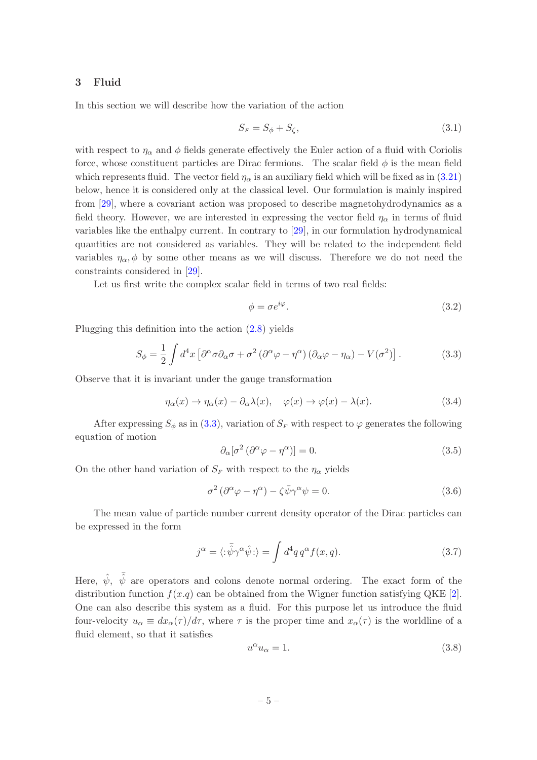## <span id="page-5-0"></span>3 Fluid

In this section we will describe how the variation of the action

<span id="page-5-5"></span>
$$
S_F = S_\phi + S_\zeta,\tag{3.1}
$$

with respect to  $\eta_{\alpha}$  and  $\phi$  fields generate effectively the Euler action of a fluid with Coriolis force, whose constituent particles are Dirac fermions. The scalar field  $\phi$  is the mean field which represents fluid. The vector field  $\eta_{\alpha}$  is an auxiliary field which will be fixed as in [\(3.21\)](#page-7-0) below, hence it is considered only at the classical level. Our formulation is mainly inspired from [\[29](#page-28-9)], where a covariant action was proposed to describe magnetohydrodynamics as a field theory. However, we are interested in expressing the vector field  $\eta_{\alpha}$  in terms of fluid variables like the enthalpy current. In contrary to [\[29](#page-28-9)], in our formulation hydrodynamical quantities are not considered as variables. They will be related to the independent field variables  $\eta_{\alpha}, \phi$  by some other means as we will discuss. Therefore we do not need the constraints considered in [\[29](#page-28-9)].

Let us first write the complex scalar field in terms of two real fields:

<span id="page-5-6"></span>
$$
\phi = \sigma e^{i\varphi}.\tag{3.2}
$$

Plugging this definition into the action [\(2.8\)](#page-4-1) yields

<span id="page-5-1"></span>
$$
S_{\phi} = \frac{1}{2} \int d^4 x \left[ \partial^{\alpha} \sigma \partial_{\alpha} \sigma + \sigma^2 (\partial^{\alpha} \varphi - \eta^{\alpha}) (\partial_{\alpha} \varphi - \eta_{\alpha}) - V(\sigma^2) \right]. \tag{3.3}
$$

Observe that it is invariant under the gauge transformation

<span id="page-5-7"></span>
$$
\eta_{\alpha}(x) \to \eta_{\alpha}(x) - \partial_{\alpha} \lambda(x), \quad \varphi(x) \to \varphi(x) - \lambda(x). \tag{3.4}
$$

After expressing  $S_{\phi}$  as in [\(3.3\)](#page-5-1), variation of  $S_F$  with respect to  $\varphi$  generates the following equation of motion

<span id="page-5-4"></span>
$$
\partial_{\alpha} [\sigma^2 (\partial^{\alpha} \varphi - \eta^{\alpha})] = 0. \tag{3.5}
$$

On the other hand variation of  $S_F$  with respect to the  $\eta_\alpha$  yields

<span id="page-5-3"></span>
$$
\sigma^2 (\partial^{\alpha} \varphi - \eta^{\alpha}) - \zeta \bar{\psi} \gamma^{\alpha} \psi = 0.
$$
 (3.6)

The mean value of particle number current density operator of the Dirac particles can be expressed in the form

<span id="page-5-2"></span>
$$
j^{\alpha} = \langle : \bar{\hat{\psi}} \gamma^{\alpha} \hat{\psi} : \rangle = \int d^4 q \, q^{\alpha} f(x, q). \tag{3.7}
$$

Here,  $\hat{\psi}$ ,  $\bar{\hat{\psi}}$  are operators and colons denote normal ordering. The exact form of the distribution function  $f(x,q)$  can be obtained from the Wigner function satisfying QKE [\[2\]](#page-27-1). One can also describe this system as a fluid. For this purpose let us introduce the fluid four-velocity  $u_{\alpha} \equiv dx_{\alpha}(\tau)/d\tau$ , where  $\tau$  is the proper time and  $x_{\alpha}(\tau)$  is the worldline of a fluid element, so that it satisfies

$$
u^{\alpha}u_{\alpha} = 1. \tag{3.8}
$$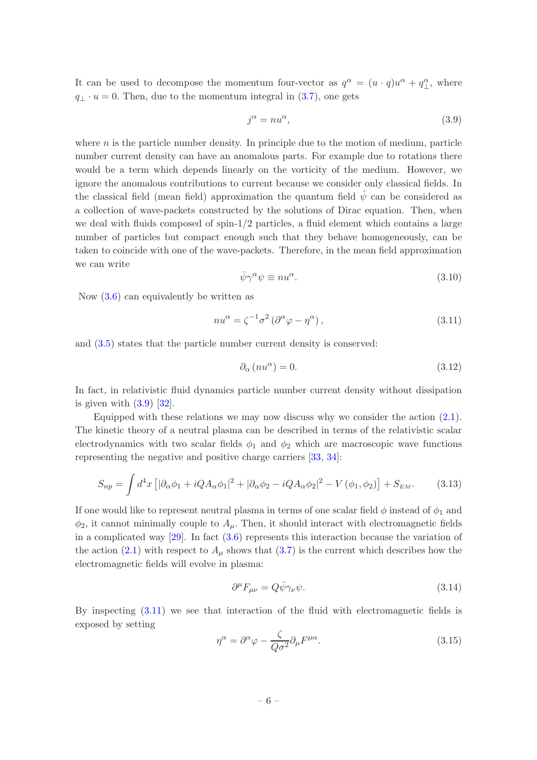It can be used to decompose the momentum four-vector as  $q^{\alpha} = (u \cdot q)u^{\alpha} + q^{\alpha}_{\perp}$ , where  $q_{\perp} \cdot u = 0$ . Then, due to the momentum integral in [\(3.7\)](#page-5-2), one gets

<span id="page-6-0"></span>
$$
j^{\alpha} = nu^{\alpha}, \tag{3.9}
$$

where  $n$  is the particle number density. In principle due to the motion of medium, particle number current density can have an anomalous parts. For example due to rotations there would be a term which depends linearly on the vorticity of the medium. However, we ignore the anomalous contributions to current because we consider only classical fields. In the classical field (mean field) approximation the quantum field  $\hat{\psi}$  can be considered as a collection of wave-packets constructed by the solutions of Dirac equation. Then, when we deal with fluids composed of spin-1/2 particles, a fluid element which contains a large number of particles but compact enough such that they behave homogeneously, can be taken to coincide with one of the wave-packets. Therefore, in the mean field approximation we can write

$$
\bar{\psi}\gamma^{\alpha}\psi \equiv nu^{\alpha}.\tag{3.10}
$$

Now [\(3.6\)](#page-5-3) can equivalently be written as

<span id="page-6-1"></span>
$$
nu^{\alpha} = \zeta^{-1} \sigma^2 \left( \partial^{\alpha} \varphi - \eta^{\alpha} \right), \tag{3.11}
$$

and [\(3.5\)](#page-5-4) states that the particle number current density is conserved:

$$
\partial_{\alpha}(nu^{\alpha}) = 0. \tag{3.12}
$$

In fact, in relativistic fluid dynamics particle number current density without dissipation is given with  $(3.9)$   $[32]$ .

Equipped with these relations we may now discuss why we consider the action  $(2.1)$ . The kinetic theory of a neutral plasma can be described in terms of the relativistic scalar electrodynamics with two scalar fields  $\phi_1$  and  $\phi_2$  which are macroscopic wave functions representing the negative and positive charge carriers [\[33](#page-28-13), [34](#page-28-14)]:

$$
S_{np} = \int d^4x \left[ |\partial_{\alpha}\phi_1 + i Q A_{\alpha}\phi_1|^2 + |\partial_{\alpha}\phi_2 - i Q A_{\alpha}\phi_2|^2 - V(\phi_1, \phi_2) \right] + S_{EM}.
$$
 (3.13)

If one would like to represent neutral plasma in terms of one scalar field  $\phi$  instead of  $\phi_1$  and  $\phi_2$ , it cannot minimally couple to  $A_\mu$ . Then, it should interact with electromagnetic fields in a complicated way [\[29\]](#page-28-9). In fact [\(3.6\)](#page-5-3) represents this interaction because the variation of the action [\(2.1\)](#page-4-2) with respect to  $A_\mu$  shows that [\(3.7\)](#page-5-2) is the current which describes how the electromagnetic fields will evolve in plasma:

<span id="page-6-2"></span>
$$
\partial^{\mu}F_{\mu\nu} = Q\bar{\psi}\gamma_{\nu}\psi. \tag{3.14}
$$

By inspecting [\(3.11\)](#page-6-1) we see that interaction of the fluid with electromagnetic fields is exposed by setting

<span id="page-6-3"></span>
$$
\eta^{\alpha} = \partial^{\alpha}\varphi - \frac{\zeta}{Q\sigma^2}\partial_{\mu}F^{\mu\alpha}.
$$
\n(3.15)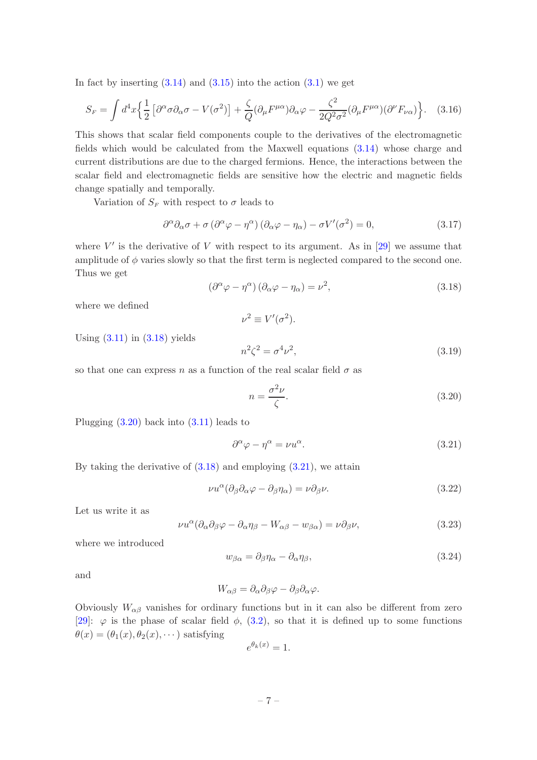In fact by inserting  $(3.14)$  and  $(3.15)$  into the action  $(3.1)$  we get

$$
S_F = \int d^4x \left\{ \frac{1}{2} \left[ \partial^{\alpha} \sigma \partial_{\alpha} \sigma - V(\sigma^2) \right] + \frac{\zeta}{Q} (\partial_{\mu} F^{\mu \alpha}) \partial_{\alpha} \varphi - \frac{\zeta^2}{2Q^2 \sigma^2} (\partial_{\mu} F^{\mu \alpha}) (\partial^{\nu} F_{\nu \alpha}) \right\}.
$$
 (3.16)

This shows that scalar field components couple to the derivatives of the electromagnetic fields which would be calculated from the Maxwell equations [\(3.14\)](#page-6-2) whose charge and current distributions are due to the charged fermions. Hence, the interactions between the scalar field and electromagnetic fields are sensitive how the electric and magnetic fields change spatially and temporally.

Variation of  $S_F$  with respect to  $\sigma$  leads to

<span id="page-7-5"></span>
$$
\partial^{\alpha}\partial_{\alpha}\sigma + \sigma\left(\partial^{\alpha}\varphi - \eta^{\alpha}\right)\left(\partial_{\alpha}\varphi - \eta_{\alpha}\right) - \sigma V'(\sigma^2) = 0, \tag{3.17}
$$

where  $V'$  is the derivative of V with respect to its argument. As in [\[29\]](#page-28-9) we assume that amplitude of  $\phi$  varies slowly so that the first term is neglected compared to the second one. Thus we get

<span id="page-7-1"></span>
$$
\left(\partial^{\alpha}\varphi - \eta^{\alpha}\right)\left(\partial_{\alpha}\varphi - \eta_{\alpha}\right) = \nu^{2},\tag{3.18}
$$

where we defined

$$
\nu^2 \equiv V'(\sigma^2).
$$

Using  $(3.11)$  in  $(3.18)$  yields

$$
n^2\zeta^2 = \sigma^4\nu^2,\tag{3.19}
$$

so that one can express n as a function of the real scalar field  $\sigma$  as

<span id="page-7-2"></span>
$$
n = \frac{\sigma^2 \nu}{\zeta}.\tag{3.20}
$$

Plugging [\(3.20\)](#page-7-2) back into [\(3.11\)](#page-6-1) leads to

<span id="page-7-0"></span>
$$
\partial^{\alpha}\varphi - \eta^{\alpha} = \nu u^{\alpha}.
$$
\n(3.21)

By taking the derivative of  $(3.18)$  and employing  $(3.21)$ , we attain

$$
\nu u^{\alpha} (\partial_{\beta} \partial_{\alpha} \varphi - \partial_{\beta} \eta_{\alpha}) = \nu \partial_{\beta} \nu.
$$
 (3.22)

Let us write it as

<span id="page-7-3"></span>
$$
\nu u^{\alpha} (\partial_{\alpha} \partial_{\beta} \varphi - \partial_{\alpha} \eta_{\beta} - W_{\alpha \beta} - w_{\beta \alpha}) = \nu \partial_{\beta} \nu, \tag{3.23}
$$

where we introduced

<span id="page-7-4"></span>
$$
w_{\beta\alpha} = \partial_{\beta}\eta_{\alpha} - \partial_{\alpha}\eta_{\beta},\tag{3.24}
$$

and

$$
W_{\alpha\beta} = \partial_{\alpha}\partial_{\beta}\varphi - \partial_{\beta}\partial_{\alpha}\varphi.
$$

Obviously  $W_{\alpha\beta}$  vanishes for ordinary functions but in it can also be different from zero [\[29](#page-28-9)]:  $\varphi$  is the phase of scalar field  $\phi$ , [\(3.2\)](#page-5-6), so that it is defined up to some functions  $\theta(x) = (\theta_1(x), \theta_2(x), \dots)$  satisfying

$$
e^{\theta_k(x)} = 1.
$$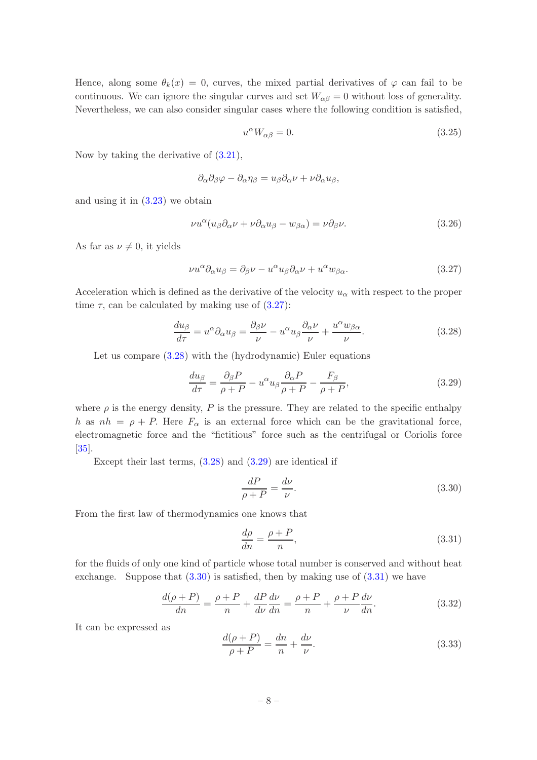Hence, along some  $\theta_k(x) = 0$ , curves, the mixed partial derivatives of  $\varphi$  can fail to be continuous. We can ignore the singular curves and set  $W_{\alpha\beta} = 0$  without loss of generality. Nevertheless, we can also consider singular cases where the following condition is satisfied,

<span id="page-8-5"></span>
$$
u^{\alpha}W_{\alpha\beta} = 0. \tag{3.25}
$$

Now by taking the derivative of [\(3.21\)](#page-7-0),

$$
\partial_{\alpha}\partial_{\beta}\varphi - \partial_{\alpha}\eta_{\beta} = u_{\beta}\partial_{\alpha}\nu + \nu \partial_{\alpha}u_{\beta},
$$

and using it in [\(3.23\)](#page-7-3) we obtain

$$
\nu u^{\alpha} (u_{\beta} \partial_{\alpha} \nu + \nu \partial_{\alpha} u_{\beta} - w_{\beta \alpha}) = \nu \partial_{\beta} \nu.
$$
 (3.26)

As far as  $\nu \neq 0$ , it yields

<span id="page-8-0"></span>
$$
\nu u^{\alpha} \partial_{\alpha} u_{\beta} = \partial_{\beta} \nu - u^{\alpha} u_{\beta} \partial_{\alpha} \nu + u^{\alpha} w_{\beta \alpha}.
$$
 (3.27)

Acceleration which is defined as the derivative of the velocity  $u_{\alpha}$  with respect to the proper time  $\tau$ , can be calculated by making use of  $(3.27)$ :

<span id="page-8-1"></span>
$$
\frac{du_{\beta}}{d\tau} = u^{\alpha}\partial_{\alpha}u_{\beta} = \frac{\partial_{\beta}\nu}{\nu} - u^{\alpha}u_{\beta}\frac{\partial_{\alpha}\nu}{\nu} + \frac{u^{\alpha}w_{\beta\alpha}}{\nu}.
$$
\n(3.28)

Let us compare  $(3.28)$  with the (hydrodynamic) Euler equations

<span id="page-8-2"></span>
$$
\frac{du_{\beta}}{d\tau} = \frac{\partial_{\beta}P}{\rho + P} - u^{\alpha}u_{\beta}\frac{\partial_{\alpha}P}{\rho + P} - \frac{F_{\beta}}{\rho + P},\tag{3.29}
$$

where  $\rho$  is the energy density, P is the pressure. They are related to the specific enthalpy h as  $nh = \rho + P$ . Here  $F_{\alpha}$  is an external force which can be the gravitational force, electromagnetic force and the "fictitious" force such as the centrifugal or Coriolis force [\[35](#page-28-15)].

Except their last terms, [\(3.28\)](#page-8-1) and [\(3.29\)](#page-8-2) are identical if

<span id="page-8-3"></span>
$$
\frac{dP}{\rho + P} = \frac{d\nu}{\nu}.\tag{3.30}
$$

From the first law of thermodynamics one knows that

<span id="page-8-4"></span>
$$
\frac{d\rho}{dn} = \frac{\rho + P}{n},\tag{3.31}
$$

for the fluids of only one kind of particle whose total number is conserved and without heat exchange. Suppose that  $(3.30)$  is satisfied, then by making use of  $(3.31)$  we have

$$
\frac{d(\rho+P)}{dn} = \frac{\rho+P}{n} + \frac{dP}{d\nu}\frac{d\nu}{dn} = \frac{\rho+P}{n} + \frac{\rho+P}{\nu}\frac{d\nu}{dn}.
$$
\n(3.32)

It can be expressed as

$$
\frac{d(\rho+P)}{\rho+P} = \frac{dn}{n} + \frac{d\nu}{\nu}.\tag{3.33}
$$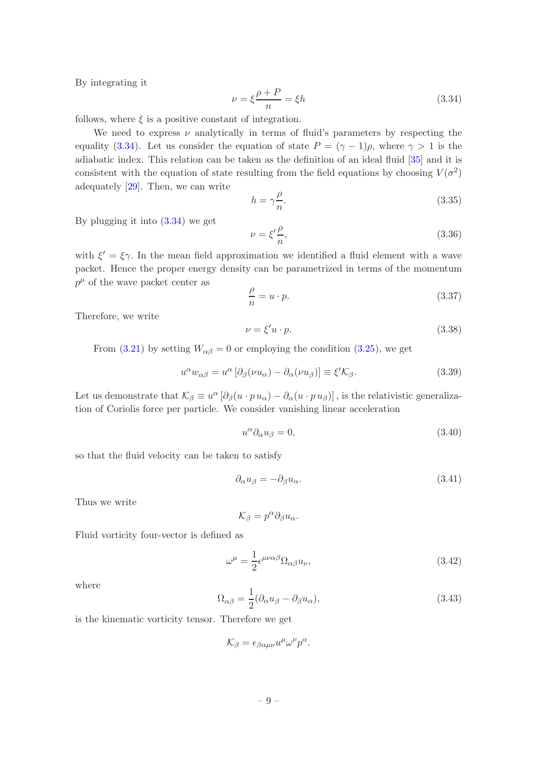By integrating it

<span id="page-9-0"></span>
$$
\nu = \xi \frac{\rho + P}{n} = \xi h \tag{3.34}
$$

follows, where  $\xi$  is a positive constant of integration.

We need to express  $\nu$  analytically in terms of fluid's parameters by respecting the equality [\(3.34\)](#page-9-0). Let us consider the equation of state  $P = (\gamma - 1)\rho$ , where  $\gamma > 1$  is the adiabatic index. This relation can be taken as the definition of an ideal fluid [\[35\]](#page-28-15) and it is consistent with the equation of state resulting from the field equations by choosing  $V(\sigma^2)$ adequately [\[29](#page-28-9)]. Then, we can write

$$
h = \gamma \frac{\rho}{n}.\tag{3.35}
$$

By plugging it into  $(3.34)$  we get

$$
\nu = \xi' \frac{\rho}{n},\tag{3.36}
$$

with  $\xi' = \xi \gamma$ . In the mean field approximation we identified a fluid element with a wave packet. Hence the proper energy density can be parametrized in terms of the momentum  $p^{\mu}$  of the wave packet center as

$$
\frac{\rho}{n} = u \cdot p. \tag{3.37}
$$

Therefore, we write

<span id="page-9-2"></span>
$$
\nu = \xi'u \cdot p. \tag{3.38}
$$

From [\(3.21\)](#page-7-0) by setting  $W_{\alpha\beta} = 0$  or employing the condition [\(3.25\)](#page-8-5), we get

<span id="page-9-1"></span>
$$
u^{\alpha}w_{\alpha\beta} = u^{\alpha}\left[\partial_{\beta}(\nu u_{\alpha}) - \partial_{\alpha}(\nu u_{\beta})\right] \equiv \xi' \mathcal{K}_{\beta}.
$$
\n(3.39)

Let us demonstrate that  $\mathcal{K}_{\beta} \equiv u^{\alpha} [\partial_{\beta} (u \cdot p u_{\alpha}) - \partial_{\alpha} (u \cdot p u_{\beta})]$ , is the relativistic generalization of Coriolis force per particle. We consider vanishing linear acceleration

<span id="page-9-3"></span>
$$
u^{\alpha}\partial_{\alpha}u_{\beta}=0, \tag{3.40}
$$

so that the fluid velocity can be taken to satisfy

$$
\partial_{\alpha}u_{\beta} = -\partial_{\beta}u_{\alpha}.\tag{3.41}
$$

Thus we write

$$
\mathcal{K}_\beta=p^\alpha\partial_\beta u_\alpha.
$$

Fluid vorticity four-vector is defined as

$$
\omega^{\mu} = \frac{1}{2} \epsilon^{\mu\nu\alpha\beta} \Omega_{\alpha\beta} u_{\nu}, \tag{3.42}
$$

where

$$
\Omega_{\alpha\beta} = \frac{1}{2} (\partial_{\alpha} u_{\beta} - \partial_{\beta} u_{\alpha}),\tag{3.43}
$$

is the kinematic vorticity tensor. Therefore we get

$$
\mathcal{K}_{\beta} = \epsilon_{\beta\alpha\mu\nu} u^{\mu} \omega^{\nu} p^{\alpha}.
$$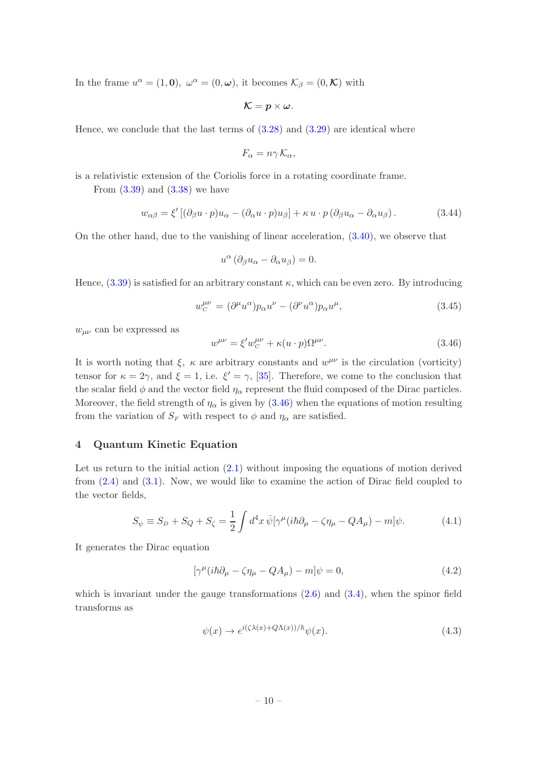In the frame  $u^{\alpha} = (1, 0), \ \omega^{\alpha} = (0, \omega),$  it becomes  $\mathcal{K}_{\beta} = (0, \mathcal{K})$  with

$$
\mathcal{K}=p\times\omega.
$$

Hence, we conclude that the last terms of  $(3.28)$  and  $(3.29)$  are identical where

$$
F_{\alpha} = n\gamma \mathcal{K}_{\alpha},
$$

is a relativistic extension of the Coriolis force in a rotating coordinate frame.

From  $(3.39)$  and  $(3.38)$  we have

<span id="page-10-5"></span>
$$
w_{\alpha\beta} = \xi' \left[ (\partial_{\beta} u \cdot p) u_{\alpha} - (\partial_{\alpha} u \cdot p) u_{\beta} \right] + \kappa u \cdot p \left( \partial_{\beta} u_{\alpha} - \partial_{\alpha} u_{\beta} \right). \tag{3.44}
$$

On the other hand, due to the vanishing of linear acceleration, [\(3.40\)](#page-9-3), we observe that

$$
u^{\alpha} \left( \partial_{\beta} u_{\alpha} - \partial_{\alpha} u_{\beta} \right) = 0.
$$

Hence,  $(3.39)$  is satisfied for an arbitrary constant  $\kappa$ , which can be even zero. By introducing

$$
w_C^{\mu\nu} = (\partial^{\mu}u^{\alpha})p_{\alpha}u^{\nu} - (\partial^{\nu}u^{\alpha})p_{\alpha}u^{\mu}, \qquad (3.45)
$$

 $w_{\mu\nu}$  can be expressed as

<span id="page-10-1"></span>
$$
w^{\mu\nu} = \xi' w_C^{\mu\nu} + \kappa (u \cdot p) \Omega^{\mu\nu}.
$$
\n(3.46)

It is worth noting that  $\xi$ ,  $\kappa$  are arbitrary constants and  $w^{\mu\nu}$  is the circulation (vorticity) tensor for  $\kappa = 2\gamma$ , and  $\xi = 1$ , i.e.  $\xi' = \gamma$ , [\[35](#page-28-15)]. Therefore, we come to the conclusion that the scalar field  $\phi$  and the vector field  $\eta_{\alpha}$  represent the fluid composed of the Dirac particles. Moreover, the field strength of  $\eta_{\alpha}$  is given by [\(3.46\)](#page-10-1) when the equations of motion resulting from the variation of  $S_F$  with respect to  $\phi$  and  $\eta_\alpha$  are satisfied.

## <span id="page-10-0"></span>4 Quantum Kinetic Equation

Let us return to the initial action  $(2.1)$  without imposing the equations of motion derived from [\(2.4\)](#page-4-3) and [\(3.1\)](#page-5-5). Now, we would like to examine the action of Dirac field coupled to the vector fields,

<span id="page-10-4"></span>
$$
S_{\psi} \equiv S_D + S_Q + S_{\zeta} = \frac{1}{2} \int d^4x \,\overline{\psi} [\gamma^{\mu} (i\hbar \partial_{\mu} - \zeta \eta_{\mu} - Q A_{\mu}) - m] \psi. \tag{4.1}
$$

It generates the Dirac equation

<span id="page-10-3"></span>
$$
[\gamma^{\mu}(i\hbar\partial_{\mu} - \zeta\eta_{\mu} - QA_{\mu}) - m]\psi = 0, \qquad (4.2)
$$

which is invariant under the gauge transformations  $(2.6)$  and  $(3.4)$ , when the spinor field transforms as

<span id="page-10-2"></span>
$$
\psi(x) \to e^{i(\zeta \lambda(x) + Q\Lambda(x))/\hbar} \psi(x). \tag{4.3}
$$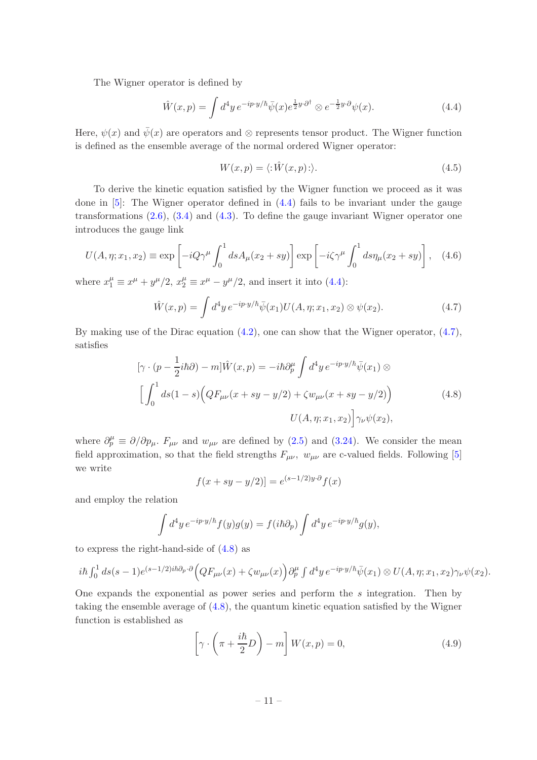The Wigner operator is defined by

<span id="page-11-0"></span>
$$
\hat{W}(x,p) = \int d^4y \, e^{-ip \cdot y/\hbar} \bar{\psi}(x) e^{\frac{1}{2}y \cdot \partial^{\dagger}} \otimes e^{-\frac{1}{2}y \cdot \partial} \psi(x). \tag{4.4}
$$

Here,  $\psi(x)$  and  $\bar{\psi}(x)$  are operators and ⊗ represents tensor product. The Wigner function is defined as the ensemble average of the normal ordered Wigner operator:

$$
W(x,p) = \langle : \hat{W}(x,p) : \rangle. \tag{4.5}
$$

To derive the kinetic equation satisfied by the Wigner function we proceed as it was done in  $[5]$ : The Wigner operator defined in  $(4.4)$  fails to be invariant under the gauge transformations  $(2.6), (3.4)$  $(2.6), (3.4)$  and  $(4.3)$ . To define the gauge invariant Wigner operator one introduces the gauge link

$$
U(A, \eta; x_1, x_2) \equiv \exp\left[-iQ\gamma^{\mu}\int_0^1 ds A_{\mu}(x_2 + sy)\right] \exp\left[-i\zeta\gamma^{\mu}\int_0^1 ds \eta_{\mu}(x_2 + sy)\right], \quad (4.6)
$$

where  $x_1^{\mu} \equiv x^{\mu} + y^{\mu}/2$ ,  $x_2^{\mu} \equiv x^{\mu} - y^{\mu}/2$ , and insert it into [\(4.4\)](#page-11-0):

<span id="page-11-1"></span>
$$
\hat{W}(x,p) = \int d^4y \, e^{-ip \cdot y/\hbar} \bar{\psi}(x_1) U(A,\eta;x_1,x_2) \otimes \psi(x_2). \tag{4.7}
$$

By making use of the Dirac equation  $(4.2)$ , one can show that the Wigner operator,  $(4.7)$ , satisfies

<span id="page-11-2"></span>
$$
[\gamma \cdot (p - \frac{1}{2}i\hbar \partial) - m]\hat{W}(x, p) = -i\hbar \partial_p^{\mu} \int d^4 y e^{-ip \cdot y/\hbar} \bar{\psi}(x_1) \otimes
$$

$$
\left[ \int_0^1 ds (1 - s) \Big( QF_{\mu\nu}(x + sy - y/2) + \zeta w_{\mu\nu}(x + sy - y/2) \Big) \right]
$$

$$
U(A, \eta; x_1, x_2) \Big] \gamma_{\nu} \psi(x_2), \tag{4.8}
$$

where  $\partial_p^{\mu} \equiv \partial/\partial p_{\mu}$ .  $F_{\mu\nu}$  and  $w_{\mu\nu}$  are defined by [\(2.5\)](#page-4-5) and [\(3.24\)](#page-7-4). We consider the mean field approximation, so that the field strengths  $F_{\mu\nu}$ ,  $w_{\mu\nu}$  are c-valued fields. Following [\[5\]](#page-27-15) we write

$$
f(x + sy - y/2)] = e^{(s-1/2)y \cdot \partial} f(x)
$$

and employ the relation

$$
\int d^4y \, e^{-ip\cdot y/\hbar} f(y)g(y) = f(i\hbar \partial_p) \int d^4y \, e^{-ip\cdot y/\hbar} g(y),
$$

to express the right-hand-side of [\(4.8\)](#page-11-2) as

$$
i\hbar \int_0^1 ds(s-1)e^{(s-1/2)i\hbar\partial_p\cdot\partial}\Big(QF_{\mu\nu}(x)+\zeta w_{\mu\nu}(x)\Big)\partial_p^{\mu}\int d^4y\,e^{-ip\cdot y/\hbar}\bar{\psi}(x_1)\otimes U(A,\eta;x_1,x_2)\gamma_{\nu}\psi(x_2).
$$

One expands the exponential as power series and perform the  $s$  integration. Then by taking the ensemble average of [\(4.8\)](#page-11-2), the quantum kinetic equation satisfied by the Wigner function is established as

<span id="page-11-3"></span>
$$
\left[\gamma \cdot \left(\pi + \frac{i\hbar}{2}D\right) - m\right]W(x, p) = 0,\tag{4.9}
$$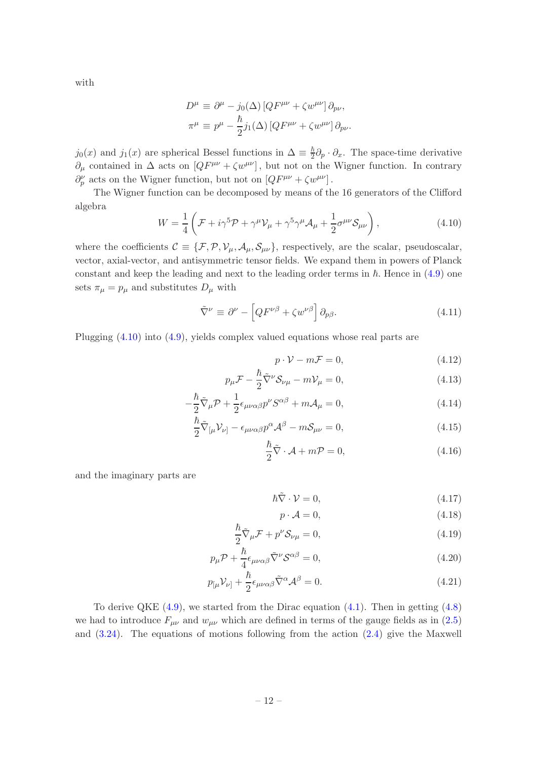with

$$
D^{\mu} \equiv \partial^{\mu} - j_0(\Delta) \left[ Q F^{\mu\nu} + \zeta w^{\mu\nu} \right] \partial_{p\nu},
$$
  

$$
\pi^{\mu} \equiv p^{\mu} - \frac{\hbar}{2} j_1(\Delta) \left[ Q F^{\mu\nu} + \zeta w^{\mu\nu} \right] \partial_{p\nu}.
$$

 $j_0(x)$  and  $j_1(x)$  are spherical Bessel functions in  $\Delta \equiv \frac{\hbar}{2}$  $\frac{\hbar}{2}\partial_p \cdot \partial_x$ . The space-time derivative  $\partial_\mu$  contained in  $\Delta$  acts on  $[QF^{\mu\nu} + \zeta w^{\mu\nu}]$ , but not on the Wigner function. In contrary  $\partial_p^{\nu}$  acts on the Wigner function, but not on  $[QF^{\mu\nu} + \zeta w^{\mu\nu}]$ .

The Wigner function can be decomposed by means of the 16 generators of the Clifford algebra

<span id="page-12-0"></span>
$$
W = \frac{1}{4} \left( \mathcal{F} + i \gamma^5 \mathcal{P} + \gamma^\mu \mathcal{V}_\mu + \gamma^5 \gamma^\mu \mathcal{A}_\mu + \frac{1}{2} \sigma^{\mu \nu} \mathcal{S}_{\mu \nu} \right), \tag{4.10}
$$

where the coefficients  $\mathcal{C} \equiv \{\mathcal{F}, \mathcal{P}, \mathcal{V}_{\mu}, \mathcal{A}_{\mu}, \mathcal{S}_{\mu\nu}\}\,$  respectively, are the scalar, pseudoscalar, vector, axial-vector, and antisymmetric tensor fields. We expand them in powers of Planck constant and keep the leading and next to the leading order terms in  $h$ . Hence in  $(4.9)$  one sets  $\pi_{\mu} = p_{\mu}$  and substitutes  $D_{\mu}$  with

$$
\tilde{\nabla}^{\nu} \equiv \partial^{\nu} - \left[ Q F^{\nu\beta} + \zeta w^{\nu\beta} \right] \partial_{p\beta}.
$$
\n(4.11)

Plugging [\(4.10\)](#page-12-0) into [\(4.9\)](#page-11-3), yields complex valued equations whose real parts are

<span id="page-12-1"></span>
$$
p \cdot \mathcal{V} - m\mathcal{F} = 0,\tag{4.12}
$$

$$
p_{\mu}\mathcal{F} - \frac{\hbar}{2}\tilde{\nabla}^{\nu}\mathcal{S}_{\nu\mu} - m\mathcal{V}_{\mu} = 0, \qquad (4.13)
$$

$$
-\frac{\hbar}{2}\tilde{\nabla}_{\mu}\mathcal{P} + \frac{1}{2}\epsilon_{\mu\nu\alpha\beta}p^{\nu}S^{\alpha\beta} + m\mathcal{A}_{\mu} = 0, \qquad (4.14)
$$

$$
\frac{\hbar}{2}\tilde{\nabla}_{[\mu}V_{\nu]} - \epsilon_{\mu\nu\alpha\beta}p^{\alpha}\mathcal{A}^{\beta} - m\mathcal{S}_{\mu\nu} = 0, \qquad (4.15)
$$

$$
\frac{\hbar}{2}\tilde{\nabla}\cdot\mathcal{A} + m\mathcal{P} = 0, \qquad (4.16)
$$

and the imaginary parts are

<span id="page-12-2"></span>
$$
\hbar \tilde{\nabla} \cdot \mathcal{V} = 0,\tag{4.17}
$$

$$
p \cdot \mathcal{A} = 0,\tag{4.18}
$$

$$
\frac{\hbar}{2}\tilde{\nabla}_{\mu}\mathcal{F} + p^{\nu}\mathcal{S}_{\nu\mu} = 0, \qquad (4.19)
$$

$$
p_{\mu}\mathcal{P} + \frac{\hbar}{4}\epsilon_{\mu\nu\alpha\beta}\tilde{\nabla}^{\nu}\mathcal{S}^{\alpha\beta} = 0, \qquad (4.20)
$$

$$
p_{\lbrack\mu} \mathcal{V}_{\nu]} + \frac{\hbar}{2} \epsilon_{\mu\nu\alpha\beta} \tilde{\nabla}^{\alpha} \mathcal{A}^{\beta} = 0.
$$
 (4.21)

To derive QKE  $(4.9)$ , we started from the Dirac equation  $(4.1)$ . Then in getting  $(4.8)$ we had to introduce  $F_{\mu\nu}$  and  $w_{\mu\nu}$  which are defined in terms of the gauge fields as in [\(2.5\)](#page-4-5) and  $(3.24)$ . The equations of motions following from the action  $(2.4)$  give the Maxwell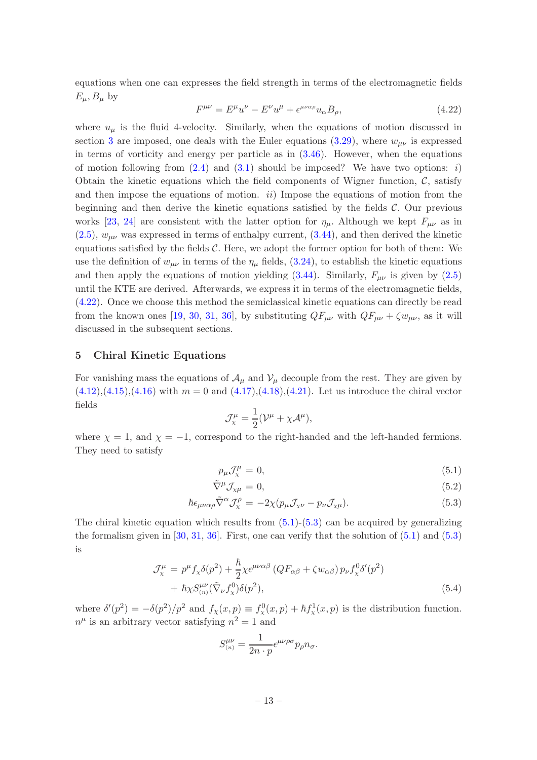equations when one can expresses the field strength in terms of the electromagnetic fields  $E_{\mu}$ ,  $B_{\mu}$  by

<span id="page-13-1"></span>
$$
F^{\mu\nu} = E^{\mu}u^{\nu} - E^{\nu}u^{\mu} + \epsilon^{\mu\nu\alpha\rho}u_{\alpha}B_{\rho},\tag{4.22}
$$

where  $u_{\mu}$  is the fluid 4-velocity. Similarly, when the equations of motion discussed in section [3](#page-5-0) are imposed, one deals with the Euler equations  $(3.29)$ , where  $w_{\mu\nu}$  is expressed in terms of vorticity and energy per particle as in  $(3.46)$ . However, when the equations of motion following from  $(2.4)$  and  $(3.1)$  should be imposed? We have two options: *i*) Obtain the kinetic equations which the field components of Wigner function,  $\mathcal{C}$ , satisfy and then impose the equations of motion.  $ii)$  Impose the equations of motion from the beginning and then derive the kinetic equations satisfied by the fields  $\mathcal{C}$ . Our previous works [\[23](#page-28-3), [24\]](#page-28-4) are consistent with the latter option for  $\eta_{\mu}$ . Although we kept  $F_{\mu\nu}$  as in  $(2.5)$ ,  $w_{\mu\nu}$  was expressed in terms of enthalpy current,  $(3.44)$ , and then derived the kinetic equations satisfied by the fields  $\mathcal{C}$ . Here, we adopt the former option for both of them: We use the definition of  $w_{\mu\nu}$  in terms of the  $\eta_{\mu}$  fields, [\(3.24\)](#page-7-4), to establish the kinetic equations and then apply the equations of motion yielding  $(3.44)$ . Similarly,  $F_{\mu\nu}$  is given by  $(2.5)$ until the KTE are derived. Afterwards, we express it in terms of the electromagnetic fields, [\(4.22\)](#page-13-1). Once we choose this method the semiclassical kinetic equations can directly be read from the known ones [\[19](#page-28-0), [30](#page-28-10), [31,](#page-28-11) [36\]](#page-28-16), by substituting  $QF_{\mu\nu}$  with  $QF_{\mu\nu} + \zeta w_{\mu\nu}$ , as it will discussed in the subsequent sections.

## <span id="page-13-0"></span>5 Chiral Kinetic Equations

For vanishing mass the equations of  $\mathcal{A}_{\mu}$  and  $\mathcal{V}_{\mu}$  decouple from the rest. They are given by  $(4.12),(4.15),(4.16)$  $(4.12),(4.15),(4.16)$  $(4.12),(4.15),(4.16)$  $(4.12),(4.15),(4.16)$  $(4.12),(4.15),(4.16)$  with  $m = 0$  and  $(4.17),(4.18),(4.21)$  $(4.17),(4.18),(4.21)$  $(4.17),(4.18),(4.21)$  $(4.17),(4.18),(4.21)$ . Let us introduce the chiral vector fields

$$
\mathcal{J}^{\mu}_{\chi} = \frac{1}{2}(\mathcal{V}^{\mu} + \chi \mathcal{A}^{\mu}),
$$

where  $\chi = 1$ , and  $\chi = -1$ , correspond to the right-handed and the left-handed fermions. They need to satisfy

<span id="page-13-2"></span>
$$
p_{\mu} \mathcal{J}_{\mathbf{x}}^{\mu} = 0, \tag{5.1}
$$

$$
\tilde{\nabla}^{\mu} \mathcal{J}_{\chi\mu} = 0, \tag{5.2}
$$

$$
\hbar \epsilon_{\mu\nu\alpha\rho} \tilde{\nabla}^{\alpha} \mathcal{J}_{\chi}^{\rho} = -2 \chi (p_{\mu} \mathcal{J}_{\chi\nu} - p_{\nu} \mathcal{J}_{\chi\mu}). \tag{5.3}
$$

The chiral kinetic equation which results from  $(5.1)-(5.3)$  $(5.1)-(5.3)$  can be acquired by generalizing the formalism given in  $[30, 31, 36]$  $[30, 31, 36]$  $[30, 31, 36]$  $[30, 31, 36]$  $[30, 31, 36]$ . First, one can verify that the solution of  $(5.1)$  and  $(5.3)$ is

<span id="page-13-3"></span>
$$
\mathcal{J}_{\chi}^{\mu} = p^{\mu} f_{\chi} \delta(p^2) + \frac{\hbar}{2} \chi \epsilon^{\mu\nu\alpha\beta} \left( Q F_{\alpha\beta} + \zeta w_{\alpha\beta} \right) p_{\nu} f_{\chi}^0 \delta'(p^2) + \hbar \chi S_{(n)}^{\mu\nu} (\tilde{\nabla}_{\nu} f_{\chi}^0) \delta(p^2), \tag{5.4}
$$

where  $\delta'(p^2) = -\delta(p^2)/p^2$  and  $f_\chi(x,p) \equiv f_\chi^0(x,p) + \hbar f_\chi^1(x,p)$  is the distribution function.  $n^{\mu}$  is an arbitrary vector satisfying  $n^2 = 1$  and

$$
S^{\mu\nu}_{(n)} = \frac{1}{2n \cdot p} \epsilon^{\mu\nu\rho\sigma} p_{\rho} n_{\sigma}.
$$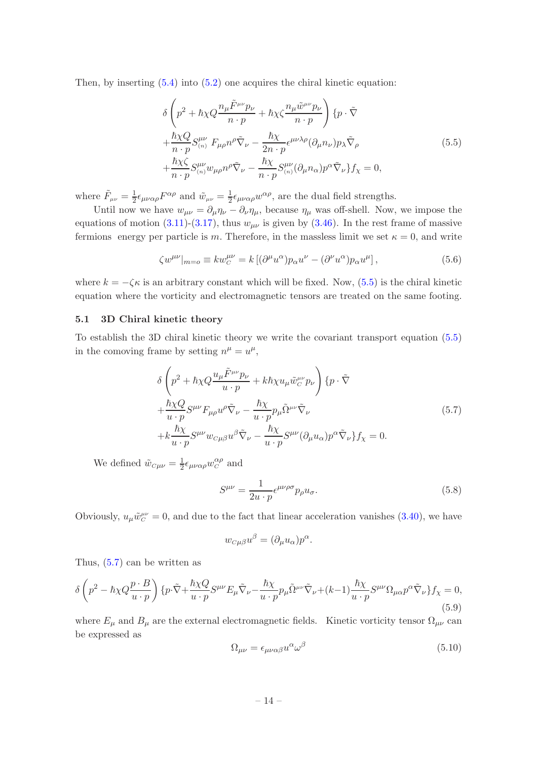Then, by inserting  $(5.4)$  into  $(5.2)$  one acquires the chiral kinetic equation:

<span id="page-14-2"></span>
$$
\delta \left( p^2 + \hbar \chi Q \frac{n_{\mu} \tilde{F}^{\mu \nu} p_{\nu}}{n \cdot p} + \hbar \chi \zeta \frac{n_{\mu} \tilde{w}^{\mu \nu} p_{\nu}}{n \cdot p} \right) \{ p \cdot \tilde{\nabla} \n+ \frac{\hbar \chi Q}{n \cdot p} S_{(n)}^{\mu \nu} F_{\mu \rho} n^{\rho} \tilde{\nabla}_{\nu} - \frac{\hbar \chi}{2n \cdot p} \epsilon^{\mu \nu \lambda \rho} (\partial_{\mu} n_{\nu}) p_{\lambda} \tilde{\nabla}_{\rho} \n+ \frac{\hbar \chi \zeta}{n \cdot p} S_{(n)}^{\mu \nu} w_{\mu \rho} n^{\rho} \tilde{\nabla}_{\nu} - \frac{\hbar \chi}{n \cdot p} S_{(n)}^{\mu \nu} (\partial_{\mu} n_{\alpha}) p^{\alpha} \tilde{\nabla}_{\nu} \} f_{\chi} = 0,
$$
\n(5.5)

where  $\tilde{F}_{\mu\nu} = \frac{1}{2}$  $\frac{1}{2} \epsilon_{\mu\nu\alpha\rho} F^{\alpha\rho}$  and  $\tilde{w}_{\mu\nu} = \frac{1}{2}$  $\frac{1}{2} \epsilon_{\mu\nu\alpha\rho} w^{\alpha\rho}$ , are the dual field strengths.

Until now we have  $w_{\mu\nu} = \partial_{\mu} \eta_{\nu} - \partial_{\nu} \eta_{\mu}$ , because  $\eta_{\mu}$  was off-shell. Now, we impose the equations of motion [\(3.11\)](#page-6-1)-[\(3.17\)](#page-7-5), thus  $w_{\mu\nu}$  is given by [\(3.46\)](#page-10-1). In the rest frame of massive fermions energy per particle is m. Therefore, in the massless limit we set  $\kappa = 0$ , and write

$$
\zeta w^{\mu\nu}|_{m=0} \equiv k w_C^{\mu\nu} = k \left[ (\partial^{\mu} u^{\alpha}) p_{\alpha} u^{\nu} - (\partial^{\nu} u^{\alpha}) p_{\alpha} u^{\mu} \right],\tag{5.6}
$$

where  $k = -\zeta \kappa$  is an arbitrary constant which will be fixed. Now, [\(5.5\)](#page-14-2) is the chiral kinetic equation where the vorticity and electromagnetic tensors are treated on the same footing.

#### <span id="page-14-0"></span>5.1 3D Chiral kinetic theory

To establish the 3D chiral kinetic theory we write the covariant transport equation [\(5.5\)](#page-14-2) in the comoving frame by setting  $n^{\mu} = u^{\mu}$ ,

<span id="page-14-3"></span>
$$
\delta \left( p^2 + \hbar \chi Q \frac{u_\mu \tilde{F}^{\mu\nu} p_\nu}{u \cdot p} + k \hbar \chi u_\mu \tilde{w}_C^{\mu\nu} p_\nu \right) \{ p \cdot \tilde{\nabla} \n+ \frac{\hbar \chi Q}{u \cdot p} S^{\mu\nu} F_{\mu\rho} u^\rho \tilde{\nabla}_\nu - \frac{\hbar \chi}{u \cdot p} p_\mu \tilde{\Omega}^{\mu\nu} \tilde{\nabla}_\nu \n+ k \frac{\hbar \chi}{u \cdot p} S^{\mu\nu} w_{C\mu\beta} u^\beta \tilde{\nabla}_\nu - \frac{\hbar \chi}{u \cdot p} S^{\mu\nu} (\partial_\mu u_\alpha) p^\alpha \tilde{\nabla}_\nu \} f_\chi = 0.
$$
\n(5.7)

We defined  $\tilde{w}_{C\mu\nu} = \frac{1}{2}$  $\frac{1}{2} \epsilon_{\mu\nu\alpha\rho} w_C^{\alpha\rho}$  and

<span id="page-14-4"></span>
$$
S^{\mu\nu} = \frac{1}{2u \cdot p} \epsilon^{\mu\nu\rho\sigma} p_{\rho} u_{\sigma}.
$$
\n(5.8)

Obviously,  $u_{\mu}\tilde{w}_{C}^{\mu\nu} = 0$ , and due to the fact that linear acceleration vanishes [\(3.40\)](#page-9-3), we have

$$
w_{C\mu\beta}u^{\beta} = (\partial_{\mu}u_{\alpha})p^{\alpha}.
$$

Thus, [\(5.7\)](#page-14-3) can be written as

<span id="page-14-1"></span>
$$
\delta \left( p^2 - \hbar \chi Q \frac{p \cdot B}{u \cdot p} \right) \{ p \cdot \tilde{\nabla} + \frac{\hbar \chi Q}{u \cdot p} S^{\mu \nu} E_{\mu} \tilde{\nabla}_{\nu} - \frac{\hbar \chi}{u \cdot p} p_{\mu} \tilde{\Omega}^{\mu \nu} \tilde{\nabla}_{\nu} + (k-1) \frac{\hbar \chi}{u \cdot p} S^{\mu \nu} \Omega_{\mu \alpha} p^{\alpha} \tilde{\nabla}_{\nu} \} f_{\chi} = 0, \tag{5.9}
$$

where  $E_{\mu}$  and  $B_{\mu}$  are the external electromagnetic fields. Kinetic vorticity tensor  $\Omega_{\mu\nu}$  can be expressed as

<span id="page-14-5"></span>
$$
\Omega_{\mu\nu} = \epsilon_{\mu\nu\alpha\beta} u^{\alpha} \omega^{\beta} \tag{5.10}
$$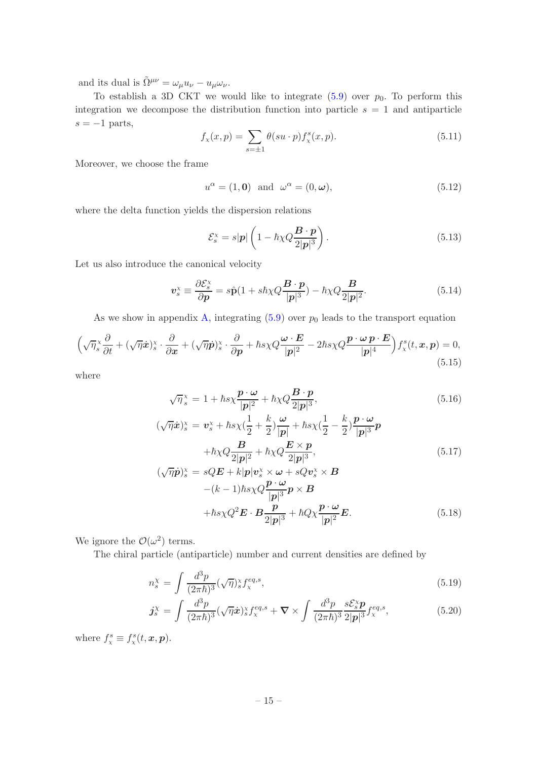and its dual is  $\tilde{\Omega}^{\mu\nu} = \omega_{\mu} u_{\nu} - u_{\mu} \omega_{\nu}$ .

To establish a 3D CKT we would like to integrate  $(5.9)$  over  $p_0$ . To perform this integration we decompose the distribution function into particle  $s = 1$  and antiparticle  $s = -1$  parts,

<span id="page-15-3"></span>
$$
f_{x}(x,p) = \sum_{s=\pm 1} \theta(su \cdot p) f_{x}^{s}(x,p).
$$
 (5.11)

Moreover, we choose the frame

<span id="page-15-2"></span>
$$
u^{\alpha} = (1, \mathbf{0}) \quad \text{and} \quad \omega^{\alpha} = (0, \omega), \tag{5.12}
$$

where the delta function yields the dispersion relations

$$
\mathcal{E}_s^{\times} = s|\mathbf{p}| \left( 1 - \hbar \chi Q \frac{\mathbf{B} \cdot \mathbf{p}}{2|\mathbf{p}|^3} \right). \tag{5.13}
$$

Let us also introduce the canonical velocity

<span id="page-15-4"></span>
$$
\boldsymbol{v}_s^{\times} \equiv \frac{\partial \mathcal{E}_s^{\times}}{\partial \boldsymbol{p}} = s\hat{\mathbf{p}}(1 + s\hbar\chi Q \frac{\boldsymbol{B} \cdot \boldsymbol{p}}{|\boldsymbol{p}|^3}) - \hbar\chi Q \frac{\boldsymbol{B}}{2|\boldsymbol{p}|^2}.
$$
 (5.14)

As we show in appendix [A,](#page-25-0) integrating  $(5.9)$  over  $p_0$  leads to the transport equation

<span id="page-15-1"></span>
$$
\left(\sqrt{\eta_s} \frac{\partial}{\partial t} + (\sqrt{\eta} \dot{x})_s^{\chi} \cdot \frac{\partial}{\partial x} + (\sqrt{\eta} \dot{p})_s^{\chi} \cdot \frac{\partial}{\partial p} + \hbar s \chi Q \frac{\omega \cdot E}{|p|^2} - 2\hbar s \chi Q \frac{p \cdot \omega p \cdot E}{|p|^4} \right) f_x^s(t, x, p) = 0,
$$
\n(5.15)

where

<span id="page-15-0"></span>
$$
\sqrt{\eta}_s^{\times} = 1 + \hbar s \chi \frac{\boldsymbol{p} \cdot \boldsymbol{\omega}}{|\boldsymbol{p}|^2} + \hbar \chi Q \frac{\boldsymbol{B} \cdot \boldsymbol{p}}{2|\boldsymbol{p}|^3},\tag{5.16}
$$

$$
(\sqrt{\eta}\dot{x})_s^{\chi} = v_s^{\chi} + \hbar s \chi (\frac{1}{2} + \frac{k}{2}) \frac{\omega}{|p|} + \hbar s \chi (\frac{1}{2} - \frac{k}{2}) \frac{p \cdot \omega}{|p|^3} p
$$

$$
+ \hbar \chi Q \frac{B}{2|p|^2} + \hbar \chi Q \frac{E \times p}{2|p|^3},
$$

$$
(\sqrt{\eta} \dot{p})_s^{\chi} = sQE + k|p|v_s^{\chi} \times \omega + sQv_s^{\chi} \times B
$$

$$
(5.17)
$$

$$
-(k-1)\hbar s \chi Q \frac{\boldsymbol{p} \cdot \boldsymbol{\omega}}{|\boldsymbol{p}|^3} \boldsymbol{p} \times \boldsymbol{B}
$$
  
+ $\hbar s \chi Q^2 \boldsymbol{E} \cdot \boldsymbol{B} \frac{\boldsymbol{p}}{2|\boldsymbol{p}|^3} + \hbar Q \chi \frac{\boldsymbol{p} \cdot \boldsymbol{\omega}}{|\boldsymbol{p}|^2} \boldsymbol{E}.$  (5.18)

We ignore the  $\mathcal{O}(\omega^2)$  terms.

The chiral particle (antiparticle) number and current densities are defined by

$$
n_s^{\chi} = \int \frac{d^3 p}{(2\pi\hbar)^3} (\sqrt{\eta})_s^{\chi} f_{\chi}^{eq,s},\tag{5.19}
$$

$$
\mathbf{j}_{s}^{\chi} = \int \frac{d^{3}p}{(2\pi\hbar)^{3}} (\sqrt{\eta}\dot{x})_{s}^{\chi} f_{\chi}^{eq,s} + \nabla \times \int \frac{d^{3}p}{(2\pi\hbar)^{3}} \frac{s \mathcal{E}_{s}^{\chi} p}{2|\mathbf{p}|^{3}} f_{\chi}^{eq,s}, \tag{5.20}
$$

where  $f_{\chi}^s \equiv f_{\chi}^s(t, \mathbf{x}, \mathbf{p}).$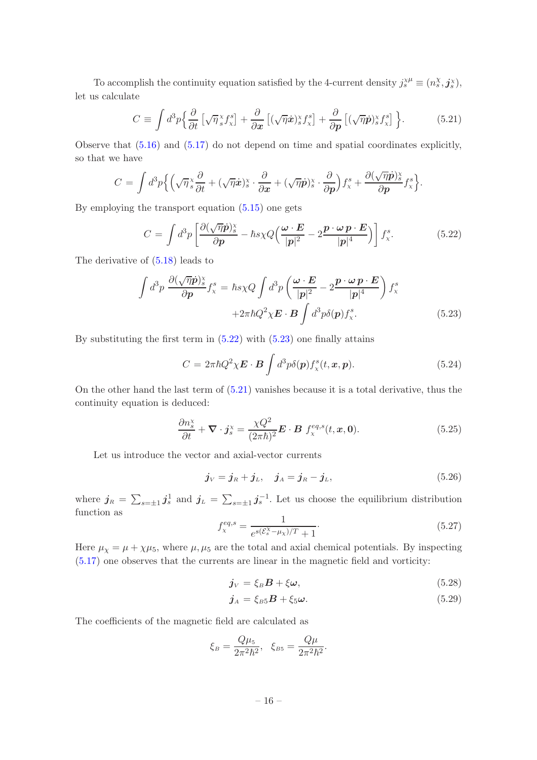To accomplish the continuity equation satisfied by the 4-current density  $j_s^{\chi\mu} \equiv (n_s^{\chi}, \mathbf{j}_{s}^{\chi}),$ let us calculate

<span id="page-16-2"></span>
$$
C \equiv \int d^3p \left\{ \frac{\partial}{\partial t} \left[ \sqrt{\eta}^x \mathbf{f}^s_x \right] + \frac{\partial}{\partial x} \left[ (\sqrt{\eta} \dot{x})^x \mathbf{f}^s_x \right] + \frac{\partial}{\partial p} \left[ (\sqrt{\eta} \dot{p})^x \mathbf{f}^s_x \right] \right\}.
$$
 (5.21)

Observe that [\(5.16\)](#page-15-0) and [\(5.17\)](#page-15-0) do not depend on time and spatial coordinates explicitly, so that we have

$$
C = \int d^3p \Big\{ \Big(\sqrt{\eta} \frac{x}{s} \frac{\partial}{\partial t} + (\sqrt{\eta} \dot{x})^x_s \cdot \frac{\partial}{\partial x} + (\sqrt{\eta} \dot{p})^x_s \cdot \frac{\partial}{\partial p} \Big) f^s_x + \frac{\partial (\sqrt{\eta} \dot{p})^x_s}{\partial p} f^s_x \Big\}.
$$

By employing the transport equation [\(5.15\)](#page-15-1) one gets

<span id="page-16-0"></span>
$$
C = \int d^3p \left[ \frac{\partial (\sqrt{\eta} \dot{p})_s^{\times}}{\partial p} - \hbar s \chi Q \left( \frac{\omega \cdot E}{|p|^2} - 2 \frac{p \cdot \omega p \cdot E}{|p|^4} \right) \right] f_{\chi}^s. \tag{5.22}
$$

The derivative of [\(5.18\)](#page-15-0) leads to

<span id="page-16-1"></span>
$$
\int d^3p \frac{\partial (\sqrt{\eta}\dot{p})_s^x}{\partial p} f_x^s = \hbar s \chi Q \int d^3p \left( \frac{\omega \cdot E}{|p|^2} - 2 \frac{p \cdot \omega p \cdot E}{|p|^4} \right) f_x^s
$$

$$
+ 2\pi \hbar Q^2 \chi E \cdot B \int d^3p \delta(p) f_x^s. \tag{5.23}
$$

By substituting the first term in  $(5.22)$  with  $(5.23)$  one finally attains

$$
C = 2\pi\hbar Q^2 \chi \boldsymbol{E} \cdot \boldsymbol{B} \int d^3p \delta(\boldsymbol{p}) f_x^s(t, \boldsymbol{x}, \boldsymbol{p}). \qquad (5.24)
$$

On the other hand the last term of [\(5.21\)](#page-16-2) vanishes because it is a total derivative, thus the continuity equation is deduced:

<span id="page-16-5"></span>
$$
\frac{\partial n_s^{\mathbf{x}}}{\partial t} + \boldsymbol{\nabla} \cdot \boldsymbol{j}_s^{\mathbf{x}} = \frac{\chi Q^2}{(2\pi\hbar)^2} \boldsymbol{E} \cdot \boldsymbol{B} \, f_{\chi}^{eq,s}(t, \boldsymbol{x}, \mathbf{0}). \tag{5.25}
$$

Let us introduce the vector and axial-vector currents

$$
j_V = j_R + j_L, \quad j_A = j_R - j_L,
$$
 (5.26)

where  $j_R = \sum_{s=\pm 1} j_s^1$  and  $j_L = \sum_{s=\pm 1} j_s^{-1}$ . Let us choose the equilibrium distribution function as

<span id="page-16-4"></span>
$$
f_{\chi}^{eq,s} = \frac{1}{e^{s(\mathcal{E}_s^{\chi} - \mu_{\chi})/T} + 1}.
$$
\n(5.27)

Here  $\mu_{\chi} = \mu + \chi \mu_5$ , where  $\mu, \mu_5$  are the total and axial chemical potentials. By inspecting [\(5.17\)](#page-15-0) one observes that the currents are linear in the magnetic field and vorticity:

<span id="page-16-3"></span>
$$
\dot{\mathbf{j}}_V = \xi_B \mathbf{B} + \xi \boldsymbol{\omega},\tag{5.28}
$$

$$
\boldsymbol{j}_A = \xi_{B5} \boldsymbol{B} + \xi_5 \boldsymbol{\omega}.\tag{5.29}
$$

The coefficients of the magnetic field are calculated as

$$
\xi_B = \frac{Q\mu_5}{2\pi^2\hbar^2}
$$
,  $\xi_{B5} = \frac{Q\mu}{2\pi^2\hbar^2}$ .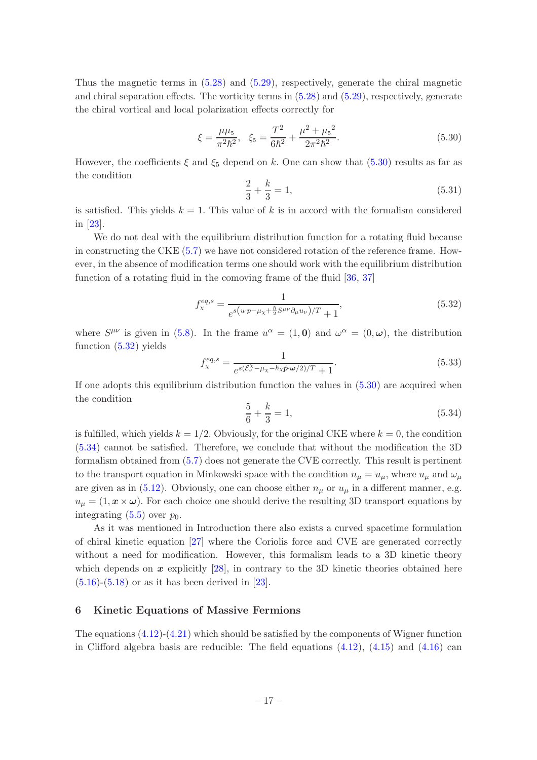Thus the magnetic terms in [\(5.28\)](#page-16-3) and [\(5.29\)](#page-16-3), respectively, generate the chiral magnetic and chiral separation effects. The vorticity terms in [\(5.28\)](#page-16-3) and [\(5.29\)](#page-16-3), respectively, generate the chiral vortical and local polarization effects correctly for

<span id="page-17-1"></span>
$$
\xi = \frac{\mu\mu_5}{\pi^2\hbar^2}, \quad \xi_5 = \frac{T^2}{6\hbar^2} + \frac{\mu^2 + \mu_5^2}{2\pi^2\hbar^2}.
$$
\n(5.30)

However, the coefficients  $\xi$  and  $\xi_5$  depend on k. One can show that [\(5.30\)](#page-17-1) results as far as the condition

$$
\frac{2}{3} + \frac{k}{3} = 1,\tag{5.31}
$$

is satisfied. This yields  $k = 1$ . This value of k is in accord with the formalism considered in [\[23](#page-28-3)].

We do not deal with the equilibrium distribution function for a rotating fluid because in constructing the CKE [\(5.7\)](#page-14-3) we have not considered rotation of the reference frame. However, in the absence of modification terms one should work with the equilibrium distribution function of a rotating fluid in the comoving frame of the fluid [\[36,](#page-28-16) [37](#page-28-17)]

<span id="page-17-2"></span>
$$
f_{\chi}^{eq,s} = \frac{1}{e^{s(u \cdot p - \mu_{\chi} + \frac{\hbar}{2} S^{\mu\nu} \partial_{\mu} u_{\nu})/T} + 1},\tag{5.32}
$$

where  $S^{\mu\nu}$  is given in [\(5.8\)](#page-14-4). In the frame  $u^{\alpha} = (1,0)$  and  $\omega^{\alpha} = (0,\omega)$ , the distribution function [\(5.32\)](#page-17-2) yields

$$
f_{\chi}^{eq,s} = \frac{1}{e^{s(\mathcal{E}_s^{\chi} - \mu_{\chi} - \hbar \chi \hat{\mathbf{p}} \cdot \mathbf{\omega}/2)/T} + 1}.
$$
\n(5.33)

If one adopts this equilibrium distribution function the values in [\(5.30\)](#page-17-1) are acquired when the condition

<span id="page-17-3"></span>
$$
\frac{5}{6} + \frac{k}{3} = 1,\tag{5.34}
$$

is fulfilled, which yields  $k = 1/2$ . Obviously, for the original CKE where  $k = 0$ , the condition [\(5.34\)](#page-17-3) cannot be satisfied. Therefore, we conclude that without the modification the 3D formalism obtained from [\(5.7\)](#page-14-3) does not generate the CVE correctly. This result is pertinent to the transport equation in Minkowski space with the condition  $n_{\mu} = u_{\mu}$ , where  $u_{\mu}$  and  $\omega_{\mu}$ are given as in [\(5.12\)](#page-15-2). Obviously, one can choose either  $n_{\mu}$  or  $u_{\mu}$  in a different manner, e.g.  $u_{\mu} = (1, x \times \omega)$ . For each choice one should derive the resulting 3D transport equations by integrating  $(5.5)$  over  $p_0$ .

As it was mentioned in Introduction there also exists a curved spacetime formulation of chiral kinetic equation [\[27](#page-28-7)] where the Coriolis force and CVE are generated correctly without a need for modification. However, this formalism leads to a 3D kinetic theory which depends on  $x$  explicitly  $[28]$ , in contrary to the 3D kinetic theories obtained here  $(5.16)-(5.18)$  $(5.16)-(5.18)$  $(5.16)-(5.18)$  or as it has been derived in  $[23]$ .

## <span id="page-17-0"></span>6 Kinetic Equations of Massive Fermions

The equations  $(4.12)-(4.21)$  $(4.12)-(4.21)$  which should be satisfied by the components of Wigner function in Clifford algebra basis are reducible: The field equations  $(4.12)$ ,  $(4.15)$  and  $(4.16)$  can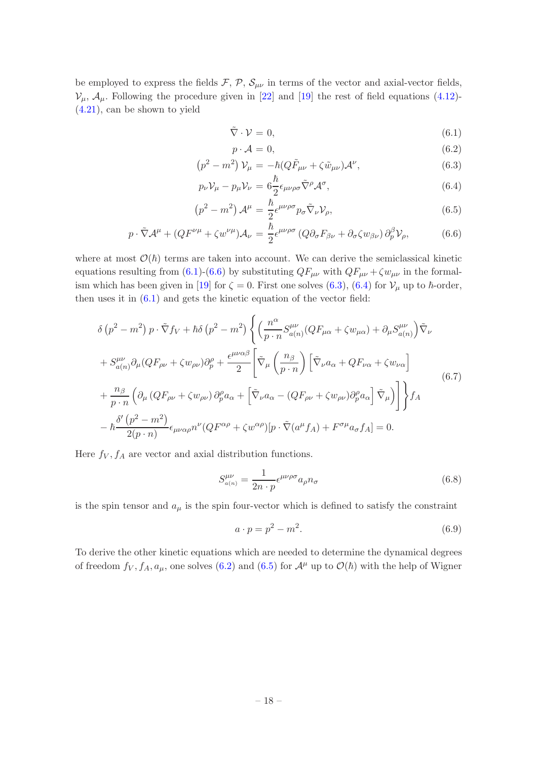be employed to express the fields  $\mathcal{F}, \mathcal{P}, \mathcal{S}_{\mu\nu}$  in terms of the vector and axial-vector fields,  $V_{\mu}$ ,  $\mathcal{A}_{\mu}$ . Following the procedure given in [\[22](#page-28-2)] and [\[19](#page-28-0)] the rest of field equations [\(4.12\)](#page-12-1)-[\(4.21\)](#page-12-2), can be shown to yield

<span id="page-18-0"></span>
$$
\tilde{\nabla} \cdot \mathcal{V} = 0,\tag{6.1}
$$

$$
p \cdot \mathcal{A} = 0,\tag{6.2}
$$

$$
\left(p^2 - m^2\right) \mathcal{V}_\mu = -\hbar (Q \tilde{F}_{\mu\nu} + \zeta \tilde{w}_{\mu\nu}) \mathcal{A}^\nu, \tag{6.3}
$$

$$
p_{\nu} \mathcal{V}_{\mu} - p_{\mu} \mathcal{V}_{\nu} = 6 \frac{\hbar}{2} \epsilon_{\mu \nu \rho \sigma} \tilde{\nabla}^{\rho} \mathcal{A}^{\sigma}, \tag{6.4}
$$

$$
\left(p^2 - m^2\right)\mathcal{A}^{\mu} = \frac{\hbar}{2} \epsilon^{\mu\nu\rho\sigma} p_{\sigma} \tilde{\nabla}_{\nu} \mathcal{V}_{\rho},\tag{6.5}
$$

$$
p \cdot \tilde{\nabla} \mathcal{A}^{\mu} + (Q F^{\nu \mu} + \zeta w^{\nu \mu}) \mathcal{A}_{\nu} = \frac{\hbar}{2} \epsilon^{\mu \nu \rho \sigma} (Q \partial_{\sigma} F_{\beta \nu} + \partial_{\sigma} \zeta w_{\beta \nu}) \partial_{p}^{\beta} \mathcal{V}_{\rho}, \tag{6.6}
$$

where at most  $\mathcal{O}(\hbar)$  terms are taken into account. We can derive the semiclassical kinetic equations resulting from [\(6.1\)](#page-18-0)-[\(6.6\)](#page-18-0) by substituting  $QF_{\mu\nu}$  with  $QF_{\mu\nu} + \zeta w_{\mu\nu}$  in the formal-ism which has been given in [\[19](#page-28-0)] for  $\zeta = 0$ . First one solves [\(6.3\)](#page-18-0), [\(6.4\)](#page-18-0) for  $\mathcal{V}_{\mu}$  up to  $\hbar$ -order, then uses it in  $(6.1)$  and gets the kinetic equation of the vector field:

<span id="page-18-1"></span>
$$
\delta (p^{2} - m^{2}) p \cdot \tilde{\nabla} f_{V} + \hbar \delta (p^{2} - m^{2}) \left\{ \left( \frac{n^{\alpha}}{p \cdot n} S_{a(n)}^{\mu\nu} (QF_{\mu\alpha} + \zeta w_{\mu\alpha}) + \partial_{\mu} S_{a(n)}^{\mu\nu} \right) \tilde{\nabla}_{\nu} \n+ S_{a(n)}^{\mu\nu} \partial_{\mu} (QF_{\rho\nu} + \zeta w_{\rho\nu}) \partial_{p}^{\rho} + \frac{\epsilon^{\mu\nu\alpha\beta}}{2} \left[ \tilde{\nabla}_{\mu} \left( \frac{n_{\beta}}{p \cdot n} \right) \left[ \tilde{\nabla}_{\nu} a_{\alpha} + QF_{\nu\alpha} + \zeta w_{\nu\alpha} \right] \right. \n+ \frac{n_{\beta}}{p \cdot n} \left( \partial_{\mu} (QF_{\rho\nu} + \zeta w_{\rho\nu}) \partial_{p}^{\rho} a_{\alpha} + \left[ \tilde{\nabla}_{\nu} a_{\alpha} - (QF_{\rho\nu} + \zeta w_{\rho\nu}) \partial_{p}^{\rho} a_{\alpha} \right] \tilde{\nabla}_{\mu} \right) \right\} f_{A} \n- \frac{\delta'(p^{2} - m^{2})}{2(p \cdot n)} \epsilon_{\mu\nu\alpha\rho} n^{\nu} (QF^{\alpha\rho} + \zeta w^{\alpha\rho}) [p \cdot \tilde{\nabla} (a^{\mu} f_{A}) + F^{\sigma\mu} a_{\sigma} f_{A}] = 0.
$$
\n(6.7)

Here  $f_V, f_A$  are vector and axial distribution functions.

$$
S_{a(n)}^{\mu\nu} = \frac{1}{2n \cdot p} \epsilon^{\mu\nu\rho\sigma} a_{\rho} n_{\sigma}
$$
\n(6.8)

is the spin tensor and  $a_{\mu}$  is the spin four-vector which is defined to satisfy the constraint

<span id="page-18-2"></span>
$$
a \cdot p = p^2 - m^2. \tag{6.9}
$$

To derive the other kinetic equations which are needed to determine the dynamical degrees of freedom  $f_V, f_A, a_\mu$ , one solves [\(6.2\)](#page-18-0) and [\(6.5\)](#page-18-0) for  $\mathcal{A}^\mu$  up to  $\mathcal{O}(\hbar)$  with the help of Wigner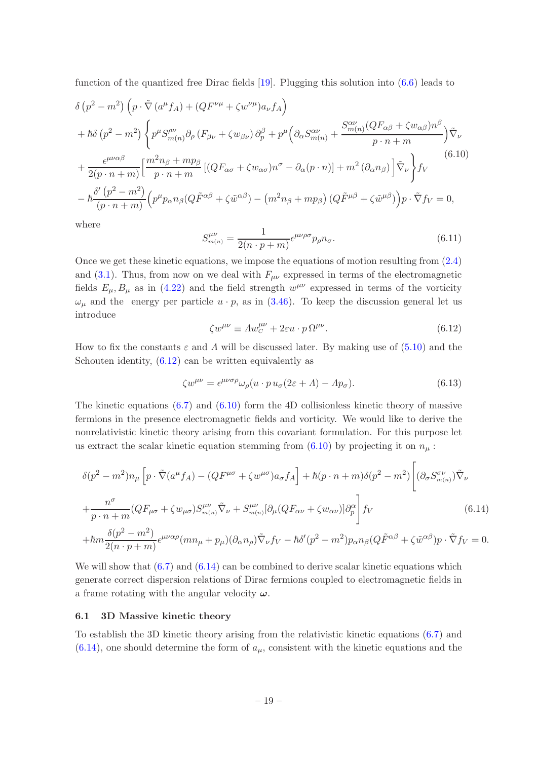function of the quantized free Dirac fields [\[19](#page-28-0)]. Plugging this solution into [\(6.6\)](#page-18-0) leads to

<span id="page-19-2"></span>
$$
\delta (p^{2} - m^{2}) \left( p \cdot \tilde{\nabla} (a^{\mu} f_{A}) + (Q F^{\nu \mu} + \zeta w^{\nu \mu}) a_{\nu} f_{A} \right) + \hbar \delta (p^{2} - m^{2}) \left\{ p^{\mu} S_{m(n)}^{\rho \nu} \partial_{\rho} (F_{\beta \nu} + \zeta w_{\beta \nu}) \partial_{p}^{\beta} + p^{\mu} \left( \partial_{\alpha} S_{m(n)}^{\alpha \nu} + \frac{S_{m(n)}^{\alpha \nu} (Q F_{\alpha \beta} + \zeta w_{\alpha \beta}) n^{\beta}}{p \cdot n + m} \right) \tilde{\nabla}_{\nu} + \frac{\epsilon^{\mu \nu \alpha \beta}}{2(p \cdot n + m)} \left[ \frac{m^{2} n_{\beta} + m p_{\beta}}{p \cdot n + m} \left[ (Q F_{\alpha \sigma} + \zeta w_{\alpha \sigma}) n^{\sigma} - \partial_{\alpha} (p \cdot n) \right] + m^{2} (\partial_{\alpha} n_{\beta}) \right] \tilde{\nabla}_{\nu} \right\} f_{V} \tag{6.10}
$$

$$
- \hbar \frac{\delta' (p^{2} - m^{2})}{(p \cdot n + m)} \left( p^{\mu} p_{\alpha} n_{\beta} (Q \tilde{F}^{\alpha \beta} + \zeta \tilde{w}^{\alpha \beta}) - (m^{2} n_{\beta} + m p_{\beta}) (Q \tilde{F}^{\mu \beta} + \zeta \tilde{w}^{\mu \beta}) \right) p \cdot \tilde{\nabla} f_{V} = 0,
$$

where

$$
S_{m(n)}^{\mu\nu} = \frac{1}{2(n \cdot p + m)} \epsilon^{\mu\nu\rho\sigma} p_{\rho} n_{\sigma}.
$$
\n(6.11)

Once we get these kinetic equations, we impose the equations of motion resulting from [\(2.4\)](#page-4-3) and [\(3.1\)](#page-5-5). Thus, from now on we deal with  $F_{\mu\nu}$  expressed in terms of the electromagnetic fields  $E_{\mu}, B_{\mu}$  as in [\(4.22\)](#page-13-1) and the field strength  $w^{\mu\nu}$  expressed in terms of the vorticity  $\omega_{\mu}$  and the energy per particle  $u \cdot p$ , as in [\(3.46\)](#page-10-1). To keep the discussion general let us introduce

<span id="page-19-1"></span>
$$
\zeta w^{\mu\nu} \equiv A w^{\mu\nu}_C + 2\varepsilon u \cdot p \,\Omega^{\mu\nu}.\tag{6.12}
$$

How to fix the constants  $\varepsilon$  and  $\Lambda$  will be discussed later. By making use of [\(5.10\)](#page-14-5) and the Schouten identity,  $(6.12)$  can be written equivalently as

$$
\zeta w^{\mu\nu} = \epsilon^{\mu\nu\sigma\rho} \omega_\rho (u \cdot p u_\sigma (2\varepsilon + \Lambda) - \Lambda p_\sigma). \tag{6.13}
$$

The kinetic equations  $(6.7)$  and  $(6.10)$  form the 4D collisionless kinetic theory of massive fermions in the presence electromagnetic fields and vorticity. We would like to derive the nonrelativistic kinetic theory arising from this covariant formulation. For this purpose let us extract the scalar kinetic equation stemming from  $(6.10)$  by projecting it on  $n_{\mu}$ :

<span id="page-19-3"></span>
$$
\delta(p^2 - m^2) n_{\mu} \left[ p \cdot \tilde{\nabla} (a^{\mu} f_A) - (Q F^{\mu \sigma} + \zeta w^{\mu \sigma}) a_{\sigma} f_A \right] + \hbar (p \cdot n + m) \delta(p^2 - m^2) \left[ (\partial_{\sigma} S^{\sigma \nu}_{m(n)}) \tilde{\nabla}_{\nu} + \frac{n^{\sigma}}{p \cdot n + m} (Q F_{\mu \sigma} + \zeta w_{\mu \sigma}) S^{\mu \nu}_{m(n)} \tilde{\nabla}_{\nu} + S^{\mu \nu}_{m(n)} [\partial_{\mu} (Q F_{\alpha \nu} + \zeta w_{\alpha \nu})] \partial_p^{\alpha} \right] f_V
$$
\n
$$
+ \hbar m \frac{\delta(p^2 - m^2)}{2(n \cdot p + m)} \epsilon^{\mu \nu \alpha \rho} (m n_{\mu} + p_{\mu}) (\partial_{\alpha} n_{\rho}) \tilde{\nabla}_{\nu} f_V - \hbar \delta'(p^2 - m^2) p_{\alpha} n_{\beta} (Q \tilde{F}^{\alpha \beta} + \zeta \tilde{w}^{\alpha \beta}) p \cdot \tilde{\nabla} f_V = 0.
$$
\n(6.14)

We will show that  $(6.7)$  and  $(6.14)$  can be combined to derive scalar kinetic equations which generate correct dispersion relations of Dirac fermions coupled to electromagnetic fields in a frame rotating with the angular velocity  $\omega$ .

## <span id="page-19-0"></span>6.1 3D Massive kinetic theory

To establish the 3D kinetic theory arising from the relativistic kinetic equations [\(6.7\)](#page-18-1) and  $(6.14)$ , one should determine the form of  $a_{\mu}$ , consistent with the kinetic equations and the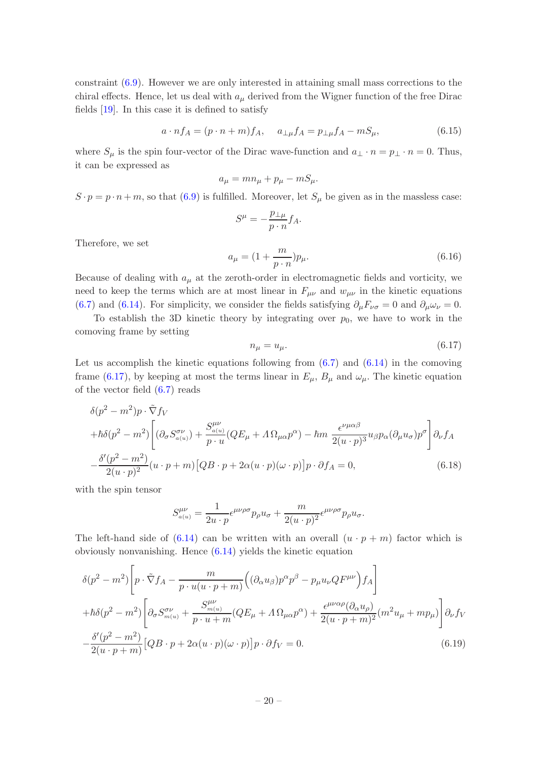constraint [\(6.9\)](#page-18-2). However we are only interested in attaining small mass corrections to the chiral effects. Hence, let us deal with  $a_{\mu}$  derived from the Wigner function of the free Dirac fields [\[19](#page-28-0)]. In this case it is defined to satisfy

$$
a \cdot nf_A = (p \cdot n + m)f_A, \quad a_{\perp \mu}f_A = p_{\perp \mu}f_A - mS_{\mu},
$$
 (6.15)

where  $S_{\mu}$  is the spin four-vector of the Dirac wave-function and  $a_{\perp} \cdot n = p_{\perp} \cdot n = 0$ . Thus, it can be expressed as

$$
a_\mu = m n_\mu + p_\mu - m S_\mu.
$$

 $S \cdot p = p \cdot n + m$ , so that [\(6.9\)](#page-18-2) is fulfilled. Moreover, let  $S_{\mu}$  be given as in the massless case:

$$
S^{\mu} = -\frac{p_{\perp\mu}}{p \cdot n} f_A.
$$

Therefore, we set

<span id="page-20-3"></span>
$$
a_{\mu} = \left(1 + \frac{m}{p \cdot n}\right) p_{\mu}.\tag{6.16}
$$

Because of dealing with  $a_{\mu}$  at the zeroth-order in electromagnetic fields and vorticity, we need to keep the terms which are at most linear in  $F_{\mu\nu}$  and  $w_{\mu\nu}$  in the kinetic equations [\(6.7\)](#page-18-1) and [\(6.14\)](#page-19-3). For simplicity, we consider the fields satisfying  $\partial_{\mu}F_{\nu\sigma} = 0$  and  $\partial_{\mu}\omega_{\nu} = 0$ .

To establish the 3D kinetic theory by integrating over  $p_0$ , we have to work in the comoving frame by setting

<span id="page-20-0"></span>
$$
n_{\mu} = u_{\mu}.\tag{6.17}
$$

Let us accomplish the kinetic equations following from  $(6.7)$  and  $(6.14)$  in the comoving frame [\(6.17\)](#page-20-0), by keeping at most the terms linear in  $E_{\mu}$ ,  $B_{\mu}$  and  $\omega_{\mu}$ . The kinetic equation of the vector field [\(6.7\)](#page-18-1) reads

<span id="page-20-2"></span>
$$
\delta(p^2 - m^2)p \cdot \tilde{\nabla}f_V
$$
  
+ $\hbar\delta(p^2 - m^2)\left[ (\partial_{\sigma}S^{\sigma\nu}_{a(u)}) + \frac{S^{\mu\nu}_{a(u)}}{p \cdot u}(QE_{\mu} + \Lambda\Omega_{\mu\alpha}p^{\alpha}) - \hbar m \frac{\epsilon^{\nu\mu\alpha\beta}}{2(u \cdot p)^3}u_{\beta}p_{\alpha}(\partial_{\mu}u_{\sigma})p^{\sigma}\right]\partial_{\nu}f_A$   
- $\frac{\delta'(p^2 - m^2)}{2(u \cdot p)^2}(u \cdot p + m)[QB \cdot p + 2\alpha(u \cdot p)(\omega \cdot p)]p \cdot \partial f_A = 0,$  (6.18)

with the spin tensor

$$
S_{a(u)}^{\mu\nu} = \frac{1}{2u \cdot p} \epsilon^{\mu\nu\rho\sigma} p_{\rho} u_{\sigma} + \frac{m}{2(u \cdot p)^2} \epsilon^{\mu\nu\rho\sigma} p_{\rho} u_{\sigma}.
$$

The left-hand side of  $(6.14)$  can be written with an overall  $(u \cdot p + m)$  factor which is obviously nonvanishing. Hence [\(6.14\)](#page-19-3) yields the kinetic equation

<span id="page-20-1"></span>
$$
\delta(p^2 - m^2) \left[ p \cdot \tilde{\nabla} f_A - \frac{m}{p \cdot u(u \cdot p + m)} \left( (\partial_\alpha u_\beta) p^\alpha p^\beta - p_\mu u_\nu Q F^{\mu\nu} \right) f_A \right]
$$
  
+  $\hbar \delta(p^2 - m^2) \left[ \partial_\sigma S^{\sigma\nu}_{m(u)} + \frac{S^{\mu\nu}_{m(u)}}{p \cdot u + m} (Q E_\mu + \Lambda \Omega_{\mu\alpha} p^\alpha) + \frac{\epsilon^{\mu\nu\alpha\rho} (\partial_\alpha u_\rho)}{2(u \cdot p + m)^2} (m^2 u_\mu + m p_\mu) \right] \partial_\nu f_V$   
-  $\frac{\delta'(p^2 - m^2)}{2(u \cdot p + m)} [Q B \cdot p + 2\alpha (u \cdot p)(\omega \cdot p)] p \cdot \partial f_V = 0.$  (6.19)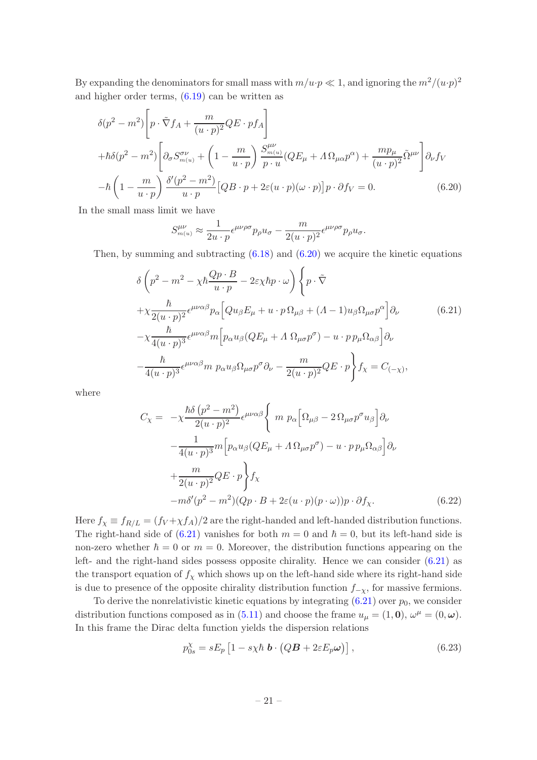By expanding the denominators for small mass with  $m/u \cdot p \ll 1$ , and ignoring the  $m^2/(u \cdot p)^2$ and higher order terms, [\(6.19\)](#page-20-1) can be written as

<span id="page-21-0"></span>
$$
\delta(p^2 - m^2) \left[ p \cdot \tilde{\nabla} f_A + \frac{m}{(u \cdot p)^2} Q E \cdot p f_A \right]
$$
  
+
$$
\hbar \delta(p^2 - m^2) \left[ \partial_{\sigma} S^{\sigma \nu}_{m(u)} + \left( 1 - \frac{m}{u \cdot p} \right) \frac{S^{\mu \nu}_{m(u)}}{p \cdot u} (Q E_{\mu} + \Lambda \Omega_{\mu \alpha} p^{\alpha}) + \frac{m p_{\mu}}{(u \cdot p)^2} \tilde{\Omega}^{\mu \nu} \right] \partial_{\nu} f_V
$$
  
-
$$
\hbar \left( 1 - \frac{m}{u \cdot p} \right) \frac{\delta'(p^2 - m^2)}{u \cdot p} [Q B \cdot p + 2\varepsilon (u \cdot p)(\omega \cdot p)] p \cdot \partial f_V = 0.
$$
 (6.20)

In the small mass limit we have

$$
S_{m(u)}^{\mu\nu} \approx \frac{1}{2u \cdot p} \epsilon^{\mu\nu\rho\sigma} p_{\rho} u_{\sigma} - \frac{m}{2(u \cdot p)^2} \epsilon^{\mu\nu\rho\sigma} p_{\rho} u_{\sigma}.
$$

Then, by summing and subtracting  $(6.18)$  and  $(6.20)$  we acquire the kinetic equations

<span id="page-21-1"></span>
$$
\delta \left( p^2 - m^2 - \chi \hbar \frac{Qp \cdot B}{u \cdot p} - 2\varepsilon \chi \hbar p \cdot \omega \right) \left\{ p \cdot \tilde{\nabla} \right\}
$$
  
+ 
$$
\chi \frac{\hbar}{2(u \cdot p)^2} \epsilon^{\mu\nu\alpha\beta} p_\alpha \left[ Q u_\beta E_\mu + u \cdot p \Omega_{\mu\beta} + (A - 1) u_\beta \Omega_{\mu\sigma} p^\alpha \right] \partial_\nu \qquad (6.21)
$$
  
- 
$$
\chi \frac{\hbar}{4(u \cdot p)^3} \epsilon^{\mu\nu\alpha\beta} m \left[ p_\alpha u_\beta (Q E_\mu + A \Omega_{\mu\sigma} p^\sigma) - u \cdot p p_\mu \Omega_{\alpha\beta} \right] \partial_\nu
$$
  
- 
$$
\frac{\hbar}{4(u \cdot p)^3} \epsilon^{\mu\nu\alpha\beta} m \ p_\alpha u_\beta \Omega_{\mu\sigma} p^\sigma \partial_\nu - \frac{m}{2(u \cdot p)^2} Q E \cdot p \right\} f_\chi = C_{(-\chi)},
$$

where

$$
C_{\chi} = -\chi \frac{\hbar \delta (p^{2} - m^{2})}{2(u \cdot p)^{2}} \epsilon^{\mu\nu\alpha\beta} \left\{ m p_{\alpha} \left[ \Omega_{\mu\beta} - 2 \Omega_{\mu\sigma} p^{\sigma} u_{\beta} \right] \partial_{\nu} - \frac{1}{4(u \cdot p)^{3}} m \left[ p_{\alpha} u_{\beta} (Q E_{\mu} + \Lambda \Omega_{\mu\sigma} p^{\sigma}) - u \cdot p p_{\mu} \Omega_{\alpha\beta} \right] \partial_{\nu} + \frac{m}{2(u \cdot p)^{2}} Q E \cdot p \right\} f_{\chi} -m \delta'(p^{2} - m^{2}) (Q p \cdot B + 2\varepsilon(u \cdot p)(p \cdot \omega)) p \cdot \partial f_{\chi}.
$$
 (6.22)

Here  $f_{\chi} \equiv f_{R/L} = (f_V + \chi f_A)/2$  are the right-handed and left-handed distribution functions. The right-hand side of [\(6.21\)](#page-21-1) vanishes for both  $m = 0$  and  $\hbar = 0$ , but its left-hand side is non-zero whether  $\hbar = 0$  or  $m = 0$ . Moreover, the distribution functions appearing on the left- and the right-hand sides possess opposite chirality. Hence we can consider [\(6.21\)](#page-21-1) as the transport equation of  $f<sub>\chi</sub>$  which shows up on the left-hand side where its right-hand side is due to presence of the opposite chirality distribution function  $f_{-\chi}$ , for massive fermions.

To derive the nonrelativistic kinetic equations by integrating  $(6.21)$  over  $p_0$ , we consider distribution functions composed as in [\(5.11\)](#page-15-3) and choose the frame  $u_{\mu} = (1, 0), \, \omega^{\mu} = (0, \omega)$ . In this frame the Dirac delta function yields the dispersion relations

<span id="page-21-2"></span>
$$
p_{0s}^{\chi} = sE_p \left[ 1 - s\chi\hbar \mathbf{b} \cdot \left( QB + 2\varepsilon E_p \omega \right) \right],
$$
 (6.23)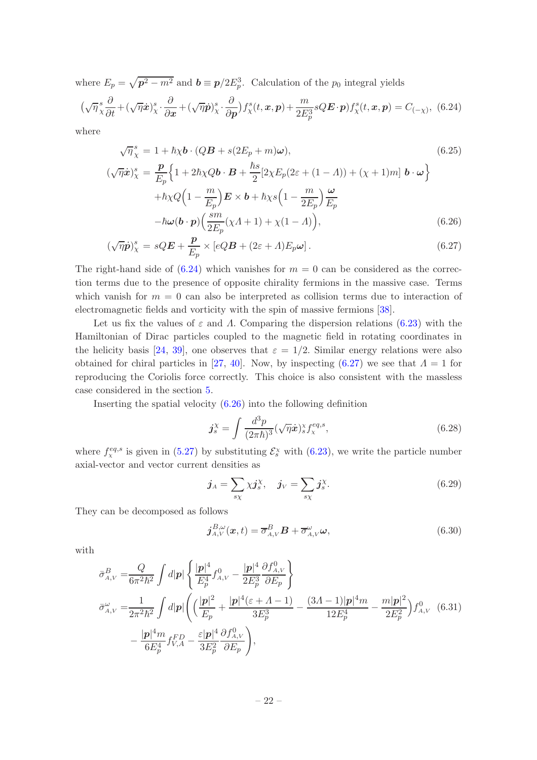where  $E_p = \sqrt{p^2 - m^2}$  and  $b \equiv p/2E_p^3$ . Calculation of the  $p_0$  integral yields

<span id="page-22-0"></span>
$$
(\sqrt{\eta}\frac{s}{\chi}\frac{\partial}{\partial t} + (\sqrt{\eta}\dot{x})^s_{\chi}\cdot\frac{\partial}{\partial x} + (\sqrt{\eta}\dot{p})^s_{\chi}\cdot\frac{\partial}{\partial p})f^s_{\chi}(t, x, p) + \frac{m}{2E_p^3}sQ\mathbf{E}\cdot\mathbf{p})f^s_{\chi}(t, x, p) = C_{(-\chi)}, \tag{6.24}
$$

where

<span id="page-22-1"></span>
$$
\sqrt{\eta}^s_{\chi} = 1 + \hbar \chi \mathbf{b} \cdot (Q\mathbf{B} + s(2E_p + m)\omega),
$$
\n
$$
(\sqrt{\eta} \dot{\mathbf{x}})^s_{\chi} = \frac{\mathbf{p}}{E_p} \Big\{ 1 + 2\hbar \chi Q \mathbf{b} \cdot \mathbf{B} + \frac{\hbar s}{2} [2\chi E_p (2\varepsilon + (1 - \Lambda)) + (\chi + 1)m] \mathbf{b} \cdot \omega \Big\}
$$
\n
$$
+ \hbar \chi Q \Big( 1 - \frac{m}{E_p} \Big) \mathbf{E} \times \mathbf{b} + \hbar \chi s \Big( 1 - \frac{m}{2E_p} \Big) \frac{\omega}{E_p}
$$
\n
$$
- \hbar \omega (\mathbf{b} \cdot \mathbf{p}) \Big( \frac{sm}{2E_p} (\chi \Lambda + 1) + \chi (1 - \Lambda) \Big),
$$
\n(6.26)

$$
(\sqrt{\eta}\dot{\boldsymbol{p}})_{\chi}^{s} = sQ\boldsymbol{E} + \frac{\boldsymbol{p}}{E_{p}} \times [eQB + (2\varepsilon + \Lambda)E_{p}\boldsymbol{\omega}]. \qquad (6.27)
$$

The right-hand side of  $(6.24)$  which vanishes for  $m = 0$  can be considered as the correction terms due to the presence of opposite chirality fermions in the massive case. Terms which vanish for  $m = 0$  can also be interpreted as collision terms due to interaction of electromagnetic fields and vorticity with the spin of massive fermions [\[38\]](#page-28-18).

Let us fix the values of  $\varepsilon$  and  $\Lambda$ . Comparing the dispersion relations [\(6.23\)](#page-21-2) with the Hamiltonian of Dirac particles coupled to the magnetic field in rotating coordinates in the helicity basis [\[24](#page-28-4), [39\]](#page-28-19), one observes that  $\varepsilon = 1/2$ . Similar energy relations were also obtained for chiral particles in [\[27,](#page-28-7) [40\]](#page-29-0). Now, by inspecting [\(6.27\)](#page-22-1) we see that  $\Lambda = 1$  for reproducing the Coriolis force correctly. This choice is also consistent with the massless case considered in the section [5.](#page-13-0)

Inserting the spatial velocity [\(6.26\)](#page-22-1) into the following definition

$$
\mathbf{j}_{s}^{\chi} = \int \frac{d^{3}p}{(2\pi\hbar)^{3}} (\sqrt{\eta}\dot{\mathbf{x}})_{s}^{\chi} f_{\chi}^{eq,s},\tag{6.28}
$$

where  $f_{\chi}^{eq,s}$  is given in [\(5.27\)](#page-16-4) by substituting  $\mathcal{E}_{s}^{\chi}$  with [\(6.23\)](#page-21-2), we write the particle number axial-vector and vector current densities as

$$
\boldsymbol{j}_A = \sum_{s\chi} \chi \boldsymbol{j}_s^{\chi}, \quad \boldsymbol{j}_V = \sum_{s\chi} \boldsymbol{j}_s^{\chi}.\tag{6.29}
$$

They can be decomposed as follows

$$
\boldsymbol{j}_{A,V}^{B,\omega}(\boldsymbol{x},t) = \overline{\sigma}_{A,V}^{B} \boldsymbol{B} + \overline{\sigma}_{A,V}^{\omega} \omega,
$$
\n(6.30)

with

$$
\bar{\sigma}_{A,V}^{B} = \frac{Q}{6\pi^{2}\hbar^{2}} \int d|\mathbf{p}| \left\{ \frac{|\mathbf{p}|^{4}}{E_{p}^{4}} f_{A,V}^{0} - \frac{|\mathbf{p}|^{4}}{2E_{p}^{3}} \frac{\partial f_{A,V}^{0}}{\partial E_{p}} \right\}
$$
\n
$$
\bar{\sigma}_{A,V}^{\omega} = \frac{1}{2\pi^{2}\hbar^{2}} \int d|\mathbf{p}| \left( \left( \frac{|\mathbf{p}|^{2}}{E_{p}} + \frac{|\mathbf{p}|^{4}(\varepsilon + A - 1)}{3E_{p}^{3}} - \frac{(3A - 1)|\mathbf{p}|^{4}m}{12E_{p}^{4}} - \frac{m|\mathbf{p}|^{2}}{2E_{p}^{2}} \right) f_{A,V}^{0} \tag{6.31}
$$
\n
$$
- \frac{|\mathbf{p}|^{4}m}{6E_{p}^{4}} f_{V,A}^{FD} - \frac{\varepsilon|\mathbf{p}|^{4}}{3E_{p}^{2}} \frac{\partial f_{A,V}^{0}}{\partial E_{p}} \right),
$$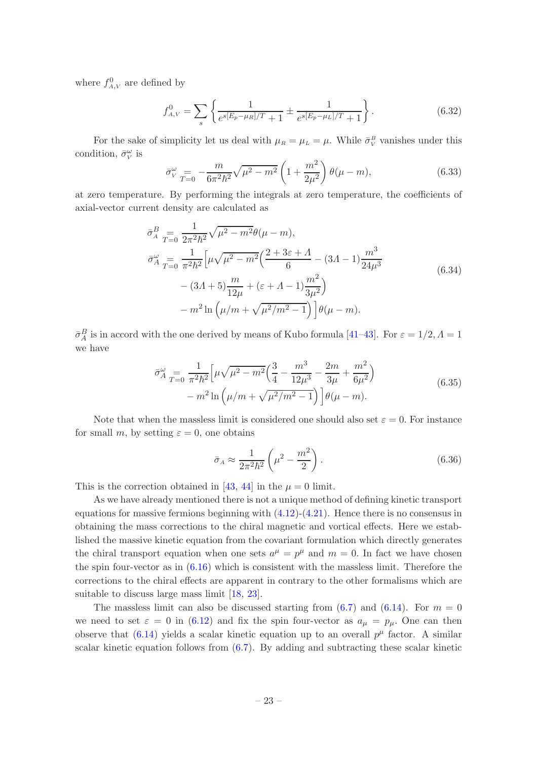where  $f_{A,V}^0$  are defined by

$$
f_{A,V}^0 = \sum_{s} \left\{ \frac{1}{e^{s[E_p - \mu_R]/T} + 1} \pm \frac{1}{e^{s[E_p - \mu_L]/T} + 1} \right\}.
$$
 (6.32)

For the sake of simplicity let us deal with  $\mu_R = \mu_L = \mu$ . While  $\bar{\sigma}_V^B$  vanishes under this condition,  $\bar{\sigma}_{V}^{\omega}$  is

$$
\bar{\sigma}_{V}^{\omega} = -\frac{m}{6\pi^2 \hbar^2} \sqrt{\mu^2 - m^2} \left( 1 + \frac{m^2}{2\mu^2} \right) \theta(\mu - m), \tag{6.33}
$$

at zero temperature. By performing the integrals at zero temperature, the coefficients of axial-vector current density are calculated as

$$
\bar{\sigma}_{A}^{B} = \frac{1}{T=0} \frac{1}{2\pi^{2}\hbar^{2}} \sqrt{\mu^{2} - m^{2}} \theta(\mu - m),
$$
  
\n
$$
\bar{\sigma}_{A}^{\omega} = \frac{1}{\pi^{2}\hbar^{2}} \left[ \mu \sqrt{\mu^{2} - m^{2}} \left( \frac{2 + 3\varepsilon + \Lambda}{6} - (3\Lambda - 1) \frac{m^{3}}{24\mu^{3}} - (3\Lambda + 5) \frac{m}{12\mu} + (\varepsilon + \Lambda - 1) \frac{m^{2}}{3\mu^{2}} \right) - m^{2} \ln \left( \mu / m + \sqrt{\mu^{2} / m^{2} - 1} \right) \left[ \theta(\mu - m) \right].
$$
\n(6.34)

 $\bar{\sigma}_A^B$  is in accord with the one derived by means of Kubo formula [\[41](#page-29-1)[–43\]](#page-29-2). For  $\varepsilon = 1/2, \Lambda = 1$ we have

$$
\bar{\sigma}_{A}^{\omega} = \frac{1}{\pi^2 \hbar^2} \left[ \mu \sqrt{\mu^2 - m^2} \left( \frac{3}{4} - \frac{m^3}{12\mu^3} - \frac{2m}{3\mu} + \frac{m^2}{6\mu^2} \right) - m^2 \ln \left( \mu / m + \sqrt{\mu^2 / m^2 - 1} \right) \right] \theta(\mu - m). \tag{6.35}
$$

Note that when the massless limit is considered one should also set  $\varepsilon = 0$ . For instance for small m, by setting  $\varepsilon = 0$ , one obtains

$$
\bar{\sigma}_A \approx \frac{1}{2\pi^2 \hbar^2} \left(\mu^2 - \frac{m^2}{2}\right). \tag{6.36}
$$

This is the correction obtained in [\[43](#page-29-2), [44](#page-29-3)] in the  $\mu = 0$  limit.

As we have already mentioned there is not a unique method of defining kinetic transport equations for massive fermions beginning with  $(4.12)-(4.21)$  $(4.12)-(4.21)$ . Hence there is no consensus in obtaining the mass corrections to the chiral magnetic and vortical effects. Here we established the massive kinetic equation from the covariant formulation which directly generates the chiral transport equation when one sets  $a^{\mu} = p^{\mu}$  and  $m = 0$ . In fact we have chosen the spin four-vector as in  $(6.16)$  which is consistent with the massless limit. Therefore the corrections to the chiral effects are apparent in contrary to the other formalisms which are suitable to discuss large mass limit [\[18](#page-27-13), [23](#page-28-3)].

The massless limit can also be discussed starting from  $(6.7)$  and  $(6.14)$ . For  $m = 0$ we need to set  $\varepsilon = 0$  in [\(6.12\)](#page-19-1) and fix the spin four-vector as  $a_{\mu} = p_{\mu}$ . One can then observe that  $(6.14)$  yields a scalar kinetic equation up to an overall  $p^{\mu}$  factor. A similar scalar kinetic equation follows from  $(6.7)$ . By adding and subtracting these scalar kinetic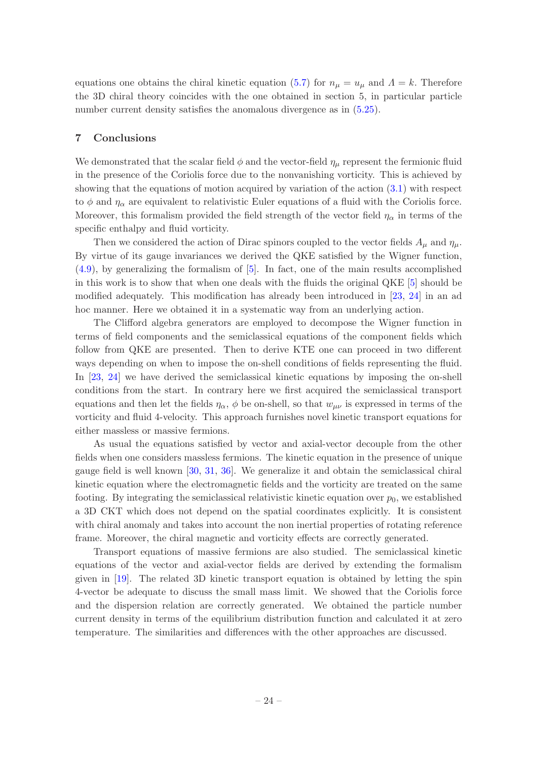equations one obtains the chiral kinetic equation [\(5.7\)](#page-14-3) for  $n_{\mu} = u_{\mu}$  and  $\Lambda = k$ . Therefore the 3D chiral theory coincides with the one obtained in section 5, in particular particle number current density satisfies the anomalous divergence as in  $(5.25)$ .

## <span id="page-24-0"></span>7 Conclusions

We demonstrated that the scalar field  $\phi$  and the vector-field  $\eta_{\mu}$  represent the fermionic fluid in the presence of the Coriolis force due to the nonvanishing vorticity. This is achieved by showing that the equations of motion acquired by variation of the action [\(3.1\)](#page-5-5) with respect to  $\phi$  and  $\eta_{\alpha}$  are equivalent to relativistic Euler equations of a fluid with the Coriolis force. Moreover, this formalism provided the field strength of the vector field  $\eta_{\alpha}$  in terms of the specific enthalpy and fluid vorticity.

Then we considered the action of Dirac spinors coupled to the vector fields  $A_{\mu}$  and  $\eta_{\mu}$ . By virtue of its gauge invariances we derived the QKE satisfied by the Wigner function, [\(4.9\)](#page-11-3), by generalizing the formalism of [\[5](#page-27-15)]. In fact, one of the main results accomplished in this work is to show that when one deals with the fluids the original QKE [\[5\]](#page-27-15) should be modified adequately. This modification has already been introduced in [\[23,](#page-28-3) [24](#page-28-4)] in an ad hoc manner. Here we obtained it in a systematic way from an underlying action.

The Clifford algebra generators are employed to decompose the Wigner function in terms of field components and the semiclassical equations of the component fields which follow from QKE are presented. Then to derive KTE one can proceed in two different ways depending on when to impose the on-shell conditions of fields representing the fluid. In [\[23,](#page-28-3) [24\]](#page-28-4) we have derived the semiclassical kinetic equations by imposing the on-shell conditions from the start. In contrary here we first acquired the semiclassical transport equations and then let the fields  $\eta_{\alpha}$ ,  $\phi$  be on-shell, so that  $w_{\mu\nu}$  is expressed in terms of the vorticity and fluid 4-velocity. This approach furnishes novel kinetic transport equations for either massless or massive fermions.

As usual the equations satisfied by vector and axial-vector decouple from the other fields when one considers massless fermions. The kinetic equation in the presence of unique gauge field is well known [\[30](#page-28-10), [31](#page-28-11), [36\]](#page-28-16). We generalize it and obtain the semiclassical chiral kinetic equation where the electromagnetic fields and the vorticity are treated on the same footing. By integrating the semiclassical relativistic kinetic equation over  $p_0$ , we established a 3D CKT which does not depend on the spatial coordinates explicitly. It is consistent with chiral anomaly and takes into account the non inertial properties of rotating reference frame. Moreover, the chiral magnetic and vorticity effects are correctly generated.

Transport equations of massive fermions are also studied. The semiclassical kinetic equations of the vector and axial-vector fields are derived by extending the formalism given in [\[19](#page-28-0)]. The related 3D kinetic transport equation is obtained by letting the spin 4-vector be adequate to discuss the small mass limit. We showed that the Coriolis force and the dispersion relation are correctly generated. We obtained the particle number current density in terms of the equilibrium distribution function and calculated it at zero temperature. The similarities and differences with the other approaches are discussed.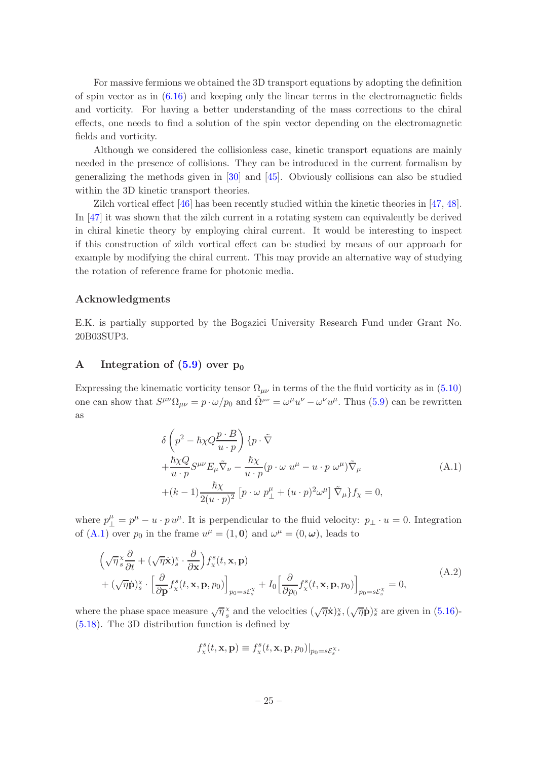For massive fermions we obtained the 3D transport equations by adopting the definition of spin vector as in  $(6.16)$  and keeping only the linear terms in the electromagnetic fields and vorticity. For having a better understanding of the mass corrections to the chiral effects, one needs to find a solution of the spin vector depending on the electromagnetic fields and vorticity.

Although we considered the collisionless case, kinetic transport equations are mainly needed in the presence of collisions. They can be introduced in the current formalism by generalizing the methods given in [\[30](#page-28-10)] and [\[45](#page-29-4)]. Obviously collisions can also be studied within the 3D kinetic transport theories.

Zilch vortical effect [\[46](#page-29-5)] has been recently studied within the kinetic theories in [\[47](#page-29-6), [48\]](#page-29-7). In [\[47](#page-29-6)] it was shown that the zilch current in a rotating system can equivalently be derived in chiral kinetic theory by employing chiral current. It would be interesting to inspect if this construction of zilch vortical effect can be studied by means of our approach for example by modifying the chiral current. This may provide an alternative way of studying the rotation of reference frame for photonic media.

## Acknowledgments

E.K. is partially supported by the Bogazici University Research Fund under Grant No. 20B03SUP3.

## <span id="page-25-0"></span>A Integration of  $(5.9)$  over  $p_0$

Expressing the kinematic vorticity tensor  $\Omega_{\mu\nu}$  in terms of the the fluid vorticity as in [\(5.10\)](#page-14-5) one can show that  $S^{\mu\nu}\Omega_{\mu\nu} = p \cdot \omega/p_0$  and  $\tilde{\Omega}^{\mu\nu} = \omega^{\mu}u^{\nu} - \omega^{\nu}u^{\mu}$ . Thus [\(5.9\)](#page-14-1) can be rewritten as

<span id="page-25-1"></span>
$$
\delta \left( p^2 - \hbar \chi Q \frac{p \cdot B}{u \cdot p} \right) \{ p \cdot \tilde{\nabla} + \frac{\hbar \chi Q}{u \cdot p} S^{\mu\nu} E_{\mu} \tilde{\nabla}_{\nu} - \frac{\hbar \chi}{u \cdot p} (p \cdot \omega u^{\mu} - u \cdot p \omega^{\mu}) \tilde{\nabla}_{\mu} + (k-1) \frac{\hbar \chi}{2(u \cdot p)^2} \left[ p \cdot \omega p^{\mu}_{\perp} + (u \cdot p)^2 \omega^{\mu} \right] \tilde{\nabla}_{\mu} \} f_{\chi} = 0,
$$
\n(A.1)

where  $p_{\perp}^{\mu} = p^{\mu} - u \cdot p u^{\mu}$ . It is perpendicular to the fluid velocity:  $p_{\perp} \cdot u = 0$ . Integration of [\(A.1\)](#page-25-1) over  $p_0$  in the frame  $u^{\mu} = (1, 0)$  and  $\omega^{\mu} = (0, \omega)$ , leads to

<span id="page-25-2"></span>
$$
\left(\sqrt{\eta} \frac{x}{s} \frac{\partial}{\partial t} + (\sqrt{\eta} \dot{\mathbf{x}}) \frac{x}{s} \cdot \frac{\partial}{\partial \mathbf{x}}\right) f_x^s(t, \mathbf{x}, \mathbf{p}) + (\sqrt{\eta} \dot{\mathbf{p}}) \frac{x}{s} \cdot \left[\frac{\partial}{\partial \mathbf{p}} f_x^s(t, \mathbf{x}, \mathbf{p}, p_0)\right]_{p_0 = s\mathcal{E}_s^X} + I_0 \left[\frac{\partial}{\partial p_0} f_x^s(t, \mathbf{x}, \mathbf{p}, p_0)\right]_{p_0 = s\mathcal{E}_s^X} = 0,
$$
\n(A.2)

where the phase space measure  $\sqrt{\eta} \frac{x}{s}$  and the velocities  $(\sqrt{\eta} \dot{x})_s^x$ ,  $(\sqrt{\eta} \dot{p})_s^x$  are given in [\(5.16\)](#page-15-0)-[\(5.18\)](#page-15-0). The 3D distribution function is defined by

$$
f^s_{\mathbf{x}}(t,\mathbf{x},\mathbf{p}) \equiv f^s_{\mathbf{x}}(t,\mathbf{x},\mathbf{p},p_0)|_{p_0=s\mathcal{E}^{\mathbf{x}}_s}.
$$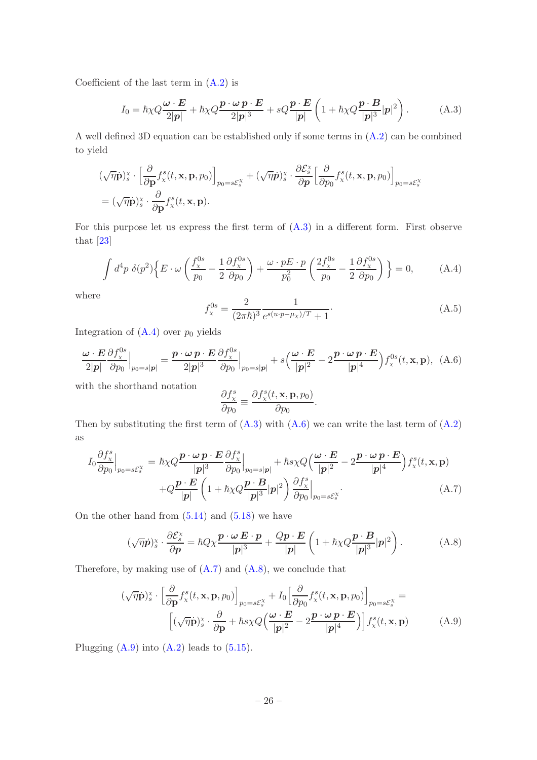Coefficient of the last term in  $(A.2)$  is

<span id="page-26-0"></span>
$$
I_0 = \hbar \chi Q \frac{\omega \cdot E}{2|p|} + \hbar \chi Q \frac{p \cdot \omega p \cdot E}{2|p|^3} + sQ \frac{p \cdot E}{|p|} \left(1 + \hbar \chi Q \frac{p \cdot B}{|p|^3} |p|^2\right).
$$
 (A.3)

A well defined 3D equation can be established only if some terms in [\(A.2\)](#page-25-2) can be combined to yield

$$
\begin{split}\n &\left.(\sqrt{\eta}\dot{\mathbf{p}})_{s}^{\times}\cdot\left[\frac{\partial}{\partial\mathbf{p}}f_{\mathbf{x}}^{s}(t,\mathbf{x},\mathbf{p},p_{0})\right]_{p_{0}=s\mathcal{E}_{s}^{\times}}+(\sqrt{\eta}\dot{\mathbf{p}})_{s}^{\times}\cdot\frac{\partial\mathcal{E}_{s}^{\times}}{\partial\mathbf{p}}\left[\frac{\partial}{\partial p_{0}}f_{\mathbf{x}}^{s}(t,\mathbf{x},\mathbf{p},p_{0})\right]_{p_{0}=s\mathcal{E}_{s}^{\times}} \\
&=(\sqrt{\eta}\dot{\mathbf{p}})_{s}^{\times}\cdot\frac{\partial}{\partial\mathbf{p}}f_{\mathbf{x}}^{s}(t,\mathbf{x},\mathbf{p}).\n\end{split}
$$

For this purpose let us express the first term of  $(A.3)$  in a different form. First observe that [\[23\]](#page-28-3)

<span id="page-26-1"></span>
$$
\int d^4p \ \delta(p^2) \Big\{ E \cdot \omega \left( \frac{f_\chi^{0s}}{p_0} - \frac{1}{2} \frac{\partial f_\chi^{0s}}{\partial p_0} \right) + \frac{\omega \cdot p E \cdot p}{p_0^2} \left( \frac{2f_\chi^{0s}}{p_0} - \frac{1}{2} \frac{\partial f_\chi^{0s}}{\partial p_0} \right) \Big\} = 0, \tag{A.4}
$$

where

$$
f_{\chi}^{0s} = \frac{2}{(2\pi\hbar)^3} \frac{1}{e^{s(u \cdot p - \mu_\chi)/T} + 1}.
$$
 (A.5)

Integration of  $(A.4)$  over  $p_0$  yields

<span id="page-26-2"></span>
$$
\frac{\boldsymbol{\omega} \cdot \boldsymbol{E}}{2|\boldsymbol{p}|} \frac{\partial f_{\chi}^{0s}}{\partial p_{0}} \Big|_{p_{0}=s|\boldsymbol{p}|} = \frac{\boldsymbol{p} \cdot \boldsymbol{\omega} \, \boldsymbol{p} \cdot \boldsymbol{E}}{2|\boldsymbol{p}|^{3}} \frac{\partial f_{\chi}^{0s}}{\partial p_{0}} \Big|_{p_{0}=s|\boldsymbol{p}|} + s \Big( \frac{\boldsymbol{\omega} \cdot \boldsymbol{E}}{|\boldsymbol{p}|^{2}} - 2 \frac{\boldsymbol{p} \cdot \boldsymbol{\omega} \, \boldsymbol{p} \cdot \boldsymbol{E}}{|\boldsymbol{p}|^{4}} \Big) f_{\chi}^{0s}(t, \mathbf{x}, \mathbf{p}), \tag{A.6}
$$

with the shorthand notation

$$
\frac{\partial f_{\mathbf{x}}^s}{\partial p_0} \equiv \frac{\partial f_{\mathbf{x}}^s(t, \mathbf{x}, \mathbf{p}, p_0)}{\partial p_0}.
$$

Then by substituting the first term of  $(A.3)$  with  $(A.6)$  we can write the last term of  $(A.2)$ as

<span id="page-26-3"></span>
$$
I_0 \frac{\partial f_x^s}{\partial p_0}\Big|_{p_0=s\mathcal{E}_s^X} = \hbar \chi Q \frac{\mathbf{p} \cdot \omega \mathbf{p} \cdot \mathbf{E}}{|\mathbf{p}|^3} \frac{\partial f_x^s}{\partial p_0}\Big|_{p_0=s|\mathbf{p}|} + \hbar s \chi Q \Big(\frac{\omega \cdot \mathbf{E}}{|\mathbf{p}|^2} - 2 \frac{\mathbf{p} \cdot \omega \mathbf{p} \cdot \mathbf{E}}{|\mathbf{p}|^4}\Big) f_x^s(t, \mathbf{x}, \mathbf{p}) + Q \frac{\mathbf{p} \cdot \mathbf{E}}{|\mathbf{p}|} \Big(1 + \hbar \chi Q \frac{\mathbf{p} \cdot \mathbf{B}}{|\mathbf{p}|^3} |\mathbf{p}|^2\Big) \frac{\partial f_x^s}{\partial p_0}\Big|_{p_0=s\mathcal{E}_s^X}.
$$
\n(A.7)

On the other hand from  $(5.14)$  and  $(5.18)$  we have

<span id="page-26-4"></span>
$$
(\sqrt{\eta}\dot{p})_s^{\times} \cdot \frac{\partial \mathcal{E}_s^{\times}}{\partial p} = \hbar Q \chi \frac{\boldsymbol{p} \cdot \boldsymbol{\omega} \boldsymbol{E} \cdot \boldsymbol{p}}{|p|^3} + \frac{Q \boldsymbol{p} \cdot \boldsymbol{E}}{|p|} \left(1 + \hbar \chi Q \frac{\boldsymbol{p} \cdot \boldsymbol{B}}{|p|^3} |p|^2\right). \tag{A.8}
$$

Therefore, by making use of  $(A.7)$  and  $(A.8)$ , we conclude that

<span id="page-26-5"></span>
$$
(\sqrt{\eta}\dot{\mathbf{p}})^{x}_{s} \cdot \left[\frac{\partial}{\partial \mathbf{p}} f^{s}_{x}(t, \mathbf{x}, \mathbf{p}, p_{0})\right]_{p_{0}=s\mathcal{E}_{s}^{x}} + I_{0} \left[\frac{\partial}{\partial p_{0}} f^{s}_{x}(t, \mathbf{x}, \mathbf{p}, p_{0})\right]_{p_{0}=s\mathcal{E}_{s}^{x}} = \left[ (\sqrt{\eta}\dot{\mathbf{p}})^{x}_{s} \cdot \frac{\partial}{\partial \mathbf{p}} + \hbar s \chi Q \left(\frac{\boldsymbol{\omega} \cdot \mathbf{E}}{|p|^{2}} - 2\frac{\boldsymbol{p} \cdot \boldsymbol{\omega} \mathbf{p} \cdot \mathbf{E}}{|p|^{4}}\right) \right] f^{s}_{x}(t, \mathbf{x}, \mathbf{p}) \tag{A.9}
$$

Plugging  $(A.9)$  into  $(A.2)$  leads to  $(5.15)$ .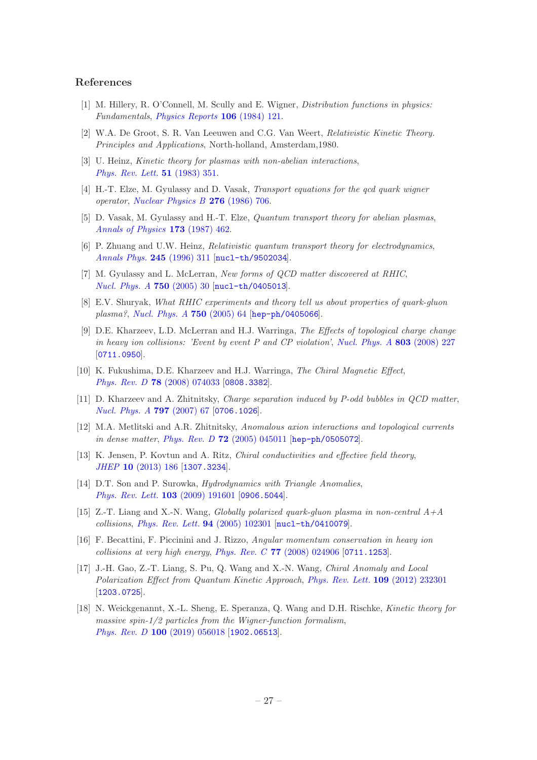## References

- <span id="page-27-0"></span>[1] M. Hillery, R. O'Connell, M. Scully and E. Wigner, Distribution functions in physics: Fundamentals, [Physics Reports](https://doi.org/https://doi.org/10.1016/0370-1573(84)90160-1) 106 (1984) 121.
- <span id="page-27-1"></span>[2] W.A. De Groot, S. R. Van Leeuwen and C.G. Van Weert, Relativistic Kinetic Theory. Principles and Applications, North-holland, Amsterdam,1980.
- <span id="page-27-2"></span>[3] U. Heinz, Kinetic theory for plasmas with non-abelian interactions, [Phys. Rev. Lett.](https://doi.org/10.1103/PhysRevLett.51.351) 51 (1983) 351.
- <span id="page-27-14"></span>[4] H.-T. Elze, M. Gyulassy and D. Vasak, Transport equations for the qcd quark wigner operator, [Nuclear Physics B](https://doi.org/https://doi.org/10.1016/0550-3213(86)90072-6) 276 (1986) 706.
- <span id="page-27-15"></span>[5] D. Vasak, M. Gyulassy and H.-T. Elze, Quantum transport theory for abelian plasmas, [Annals of Physics](https://doi.org/https://doi.org/10.1016/0003-4916(87)90169-2) 173 (1987) 462.
- <span id="page-27-3"></span>[6] P. Zhuang and U.W. Heinz, Relativistic quantum transport theory for electrodynamics, [Annals Phys.](https://doi.org/10.1006/aphy.1996.0011) 245 (1996) 311 [[nucl-th/9502034](https://arxiv.org/abs/nucl-th/9502034)].
- <span id="page-27-4"></span>[7] M. Gyulassy and L. McLerran, New forms of QCD matter discovered at RHIC, [Nucl. Phys. A](https://doi.org/10.1016/j.nuclphysa.2004.10.034) 750 (2005) 30 [[nucl-th/0405013](https://arxiv.org/abs/nucl-th/0405013)].
- <span id="page-27-5"></span>[8] E.V. Shuryak, What RHIC experiments and theory tell us about properties of quark-gluon plasma?, [Nucl. Phys. A](https://doi.org/10.1016/j.nuclphysa.2004.10.022) 750 (2005) 64 [[hep-ph/0405066](https://arxiv.org/abs/hep-ph/0405066)].
- <span id="page-27-6"></span>[9] D.E. Kharzeev, L.D. McLerran and H.J. Warringa, The Effects of topological charge change in heavy ion collisions: 'Event by event P and CP violation', Nucl. Phys.  $\hat{A}$  803 (2008) 227 [[0711.0950](https://arxiv.org/abs/0711.0950)].
- [10] K. Fukushima, D.E. Kharzeev and H.J. Warringa, The Chiral Magnetic Effect, Phys. Rev. D 78 [\(2008\) 074033](https://doi.org/10.1103/PhysRevD.78.074033) [[0808.3382](https://arxiv.org/abs/0808.3382)].
- <span id="page-27-7"></span>[11] D. Kharzeev and A. Zhitnitsky, Charge separation induced by P-odd bubbles in QCD matter, [Nucl. Phys. A](https://doi.org/10.1016/j.nuclphysa.2007.10.001) 797 (2007) 67 [[0706.1026](https://arxiv.org/abs/0706.1026)].
- <span id="page-27-8"></span>[12] M.A. Metlitski and A.R. Zhitnitsky, Anomalous axion interactions and topological currents in dense matter, Phys. Rev. D 72 [\(2005\) 045011](https://doi.org/10.1103/PhysRevD.72.045011) [[hep-ph/0505072](https://arxiv.org/abs/hep-ph/0505072)].
- <span id="page-27-9"></span>[13] K. Jensen, P. Kovtun and A. Ritz, Chiral conductivities and effective field theory, JHEP 10 [\(2013\) 186](https://doi.org/10.1007/JHEP10(2013)186) [[1307.3234](https://arxiv.org/abs/1307.3234)].
- <span id="page-27-10"></span>[14] D.T. Son and P. Surowka, *Hydrodynamics with Triangle Anomalies*, [Phys. Rev. Lett.](https://doi.org/10.1103/PhysRevLett.103.191601) 103 (2009) 191601 [[0906.5044](https://arxiv.org/abs/0906.5044)].
- <span id="page-27-11"></span>[15] Z.-T. Liang and X.-N. Wang, Globally polarized quark-gluon plasma in non-central  $A+A$ collisions, [Phys. Rev. Lett.](https://doi.org/10.1103/PhysRevLett.94.102301) 94 (2005) 102301 [[nucl-th/0410079](https://arxiv.org/abs/nucl-th/0410079)].
- [16] F. Becattini, F. Piccinini and J. Rizzo, Angular momentum conservation in heavy ion collisions at very high energy, Phys. Rev. C  $77$  [\(2008\) 024906](https://doi.org/10.1103/PhysRevC.77.024906) [[0711.1253](https://arxiv.org/abs/0711.1253)].
- <span id="page-27-12"></span>[17] J.-H. Gao, Z.-T. Liang, S. Pu, Q. Wang and X.-N. Wang, Chiral Anomaly and Local Polarization Effect from Quantum Kinetic Approach, [Phys. Rev. Lett.](https://doi.org/10.1103/PhysRevLett.109.232301) 109 (2012) 232301 [[1203.0725](https://arxiv.org/abs/1203.0725)].
- <span id="page-27-13"></span>[18] N. Weickgenannt, X.-L. Sheng, E. Speranza, Q. Wang and D.H. Rischke, Kinetic theory for massive spin- $1/2$  particles from the Wigner-function formalism, Phys. Rev. D 100 [\(2019\) 056018](https://doi.org/10.1103/PhysRevD.100.056018) [[1902.06513](https://arxiv.org/abs/1902.06513)].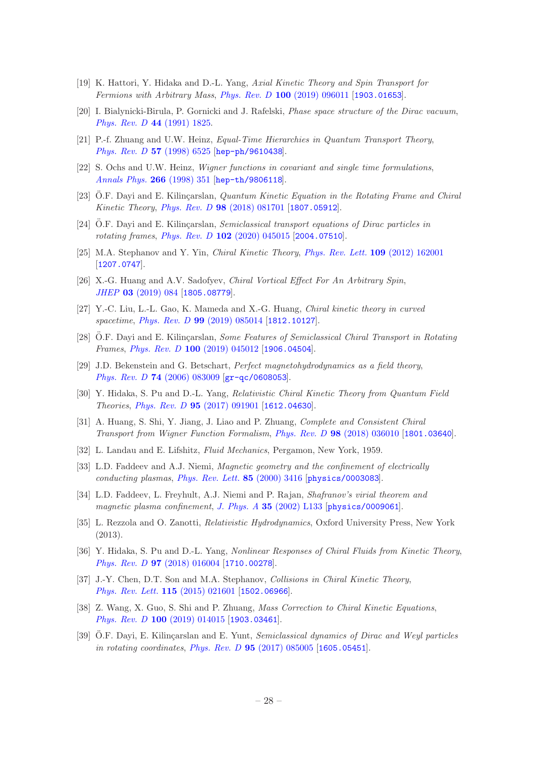- <span id="page-28-0"></span>[19] K. Hattori, Y. Hidaka and D.-L. Yang, Axial Kinetic Theory and Spin Transport for Fermions with Arbitrary Mass, Phys. Rev. D 100 [\(2019\) 096011](https://doi.org/10.1103/PhysRevD.100.096011) [[1903.01653](https://arxiv.org/abs/1903.01653)].
- <span id="page-28-1"></span>[20] I. Bialynicki-Birula, P. Gornicki and J. Rafelski, Phase space structure of the Dirac vacuum, [Phys. Rev. D](https://doi.org/10.1103/PhysRevD.44.1825) 44 (1991) 1825.
- [21] P.-f. Zhuang and U.W. Heinz, Equal-Time Hierarchies in Quantum Transport Theory, [Phys. Rev. D](https://doi.org/10.1103/PhysRevD.57.6525) 57 (1998) 6525 [[hep-ph/9610438](https://arxiv.org/abs/hep-ph/9610438)].
- <span id="page-28-2"></span>[22] S. Ochs and U.W. Heinz, Wigner functions in covariant and single time formulations, [Annals Phys.](https://doi.org/10.1006/aphy.1998.5796) 266 (1998) 351 [[hep-th/9806118](https://arxiv.org/abs/hep-th/9806118)].
- <span id="page-28-3"></span>[23] O.F. Dayi and E. Kilinçarslan, *Quantum Kinetic Equation in the Rotating Frame and Chiral* Kinetic Theory, Phys. Rev. D 98 [\(2018\) 081701](https://doi.org/10.1103/PhysRevD.98.081701) [[1807.05912](https://arxiv.org/abs/1807.05912)].
- <span id="page-28-4"></span>[24] O.F. Dayi and E. Kilinçarslan, Semiclassical transport equations of Dirac particles in rotating frames, Phys. Rev. D 102 [\(2020\) 045015](https://doi.org/10.1103/PhysRevD.102.045015) [[2004.07510](https://arxiv.org/abs/2004.07510)].
- <span id="page-28-5"></span>[25] M.A. Stephanov and Y. Yin, Chiral Kinetic Theory, [Phys. Rev. Lett.](https://doi.org/10.1103/PhysRevLett.109.162001) 109 (2012) 162001 [[1207.0747](https://arxiv.org/abs/1207.0747)].
- <span id="page-28-6"></span>[26] X.-G. Huang and A.V. Sadofyev, Chiral Vortical Effect For An Arbitrary Spin, JHEP 03 [\(2019\) 084](https://doi.org/10.1007/JHEP03(2019)084) [[1805.08779](https://arxiv.org/abs/1805.08779)].
- <span id="page-28-7"></span>[27] Y.-C. Liu, L.-L. Gao, K. Mameda and X.-G. Huang, Chiral kinetic theory in curved spacetime, Phys. Rev. D 99 [\(2019\) 085014](https://doi.org/10.1103/PhysRevD.99.085014) [[1812.10127](https://arxiv.org/abs/1812.10127)].
- <span id="page-28-8"></span>[28] O.F. Dayi and E. Kilinçarslan, *Some Features of Semiclassical Chiral Transport in Rotating* Frames, Phys. Rev. D 100 [\(2019\) 045012](https://doi.org/10.1103/PhysRevD.100.045012) [[1906.04504](https://arxiv.org/abs/1906.04504)].
- <span id="page-28-9"></span>[29] J.D. Bekenstein and G. Betschart, Perfect magnetohydrodynamics as a field theory, Phys. Rev. D 74 [\(2006\) 083009](https://doi.org/10.1103/PhysRevD.74.083009) [[gr-qc/0608053](https://arxiv.org/abs/gr-qc/0608053)].
- <span id="page-28-10"></span>[30] Y. Hidaka, S. Pu and D.-L. Yang, Relativistic Chiral Kinetic Theory from Quantum Field Theories, Phys. Rev. D 95 [\(2017\) 091901](https://doi.org/10.1103/PhysRevD.95.091901) [[1612.04630](https://arxiv.org/abs/1612.04630)].
- <span id="page-28-11"></span>[31] A. Huang, S. Shi, Y. Jiang, J. Liao and P. Zhuang, Complete and Consistent Chiral Transport from Wigner Function Formalism, Phys. Rev. D 98 [\(2018\) 036010](https://doi.org/10.1103/PhysRevD.98.036010) [[1801.03640](https://arxiv.org/abs/1801.03640)].
- <span id="page-28-12"></span>[32] L. Landau and E. Lifshitz, Fluid Mechanics, Pergamon, New York, 1959.
- <span id="page-28-13"></span>[33] L.D. Faddeev and A.J. Niemi, Magnetic geometry and the confinement of electrically conducting plasmas, [Phys. Rev. Lett.](https://doi.org/10.1103/PhysRevLett.85.3416) 85 (2000) 3416 [[physics/0003083](https://arxiv.org/abs/physics/0003083)].
- <span id="page-28-14"></span>[34] L.D. Faddeev, L. Freyhult, A.J. Niemi and P. Rajan, Shafranov's virial theorem and magnetic plasma confinement, J. Phys. A 35 [\(2002\) L133](https://doi.org/10.1088/0305-4470/35/11/101) [[physics/0009061](https://arxiv.org/abs/physics/0009061)].
- <span id="page-28-15"></span>[35] L. Rezzola and O. Zanotti, Relativistic Hydrodynamics, Oxford University Press, New York (2013).
- <span id="page-28-16"></span>[36] Y. Hidaka, S. Pu and D.-L. Yang, Nonlinear Responses of Chiral Fluids from Kinetic Theory, Phys. Rev. D 97 [\(2018\) 016004](https://doi.org/10.1103/PhysRevD.97.016004) [[1710.00278](https://arxiv.org/abs/1710.00278)].
- <span id="page-28-17"></span>[37] J.-Y. Chen, D.T. Son and M.A. Stephanov, Collisions in Chiral Kinetic Theory, [Phys. Rev. Lett.](https://doi.org/10.1103/PhysRevLett.115.021601) 115 (2015) 021601 [[1502.06966](https://arxiv.org/abs/1502.06966)].
- <span id="page-28-18"></span>[38] Z. Wang, X. Guo, S. Shi and P. Zhuang, Mass Correction to Chiral Kinetic Equations, Phys. Rev. D 100 [\(2019\) 014015](https://doi.org/10.1103/PhysRevD.100.014015) [[1903.03461](https://arxiv.org/abs/1903.03461)].
- <span id="page-28-19"></span>[39] O.F. Dayi, E. Kilinçarslan and E. Yunt, Semiclassical dynamics of Dirac and Weyl particles in rotating coordinates, Phys. Rev. D **95** [\(2017\) 085005](https://doi.org/10.1103/PhysRevD.95.085005) [[1605.05451](https://arxiv.org/abs/1605.05451)].